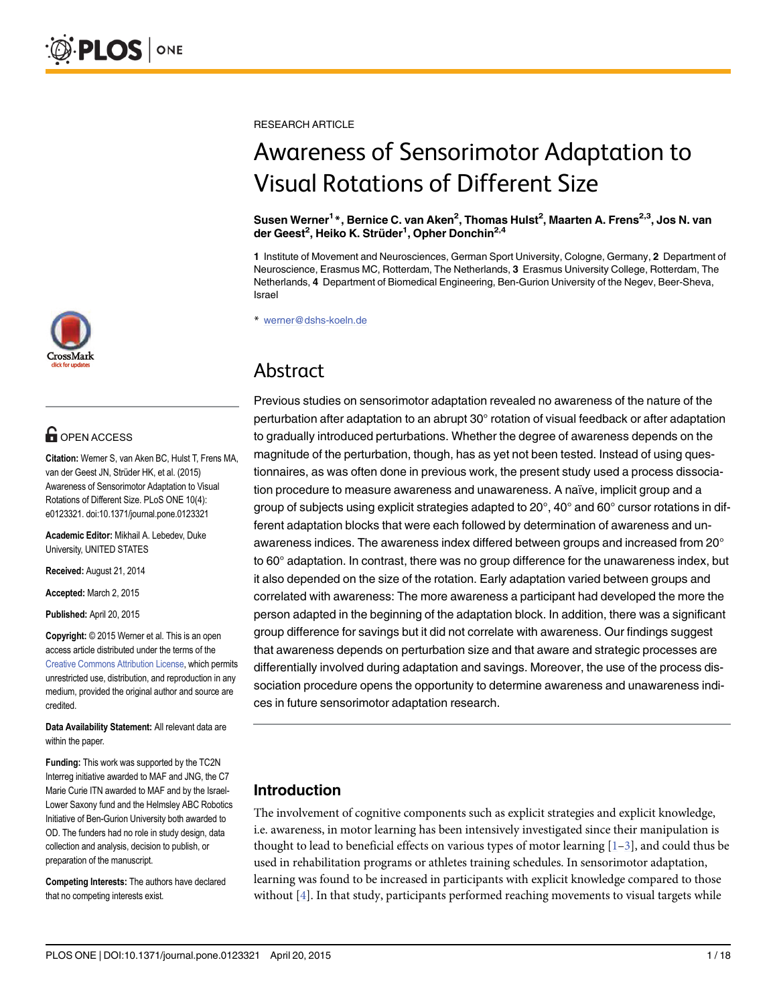

# **G** OPEN ACCESS

Citation: Werner S, van Aken BC, Hulst T, Frens MA, van der Geest JN, Strüder HK, et al. (2015) Awareness of Sensorimotor Adaptation to Visual Rotations of Different Size. PLoS ONE 10(4): e0123321. doi:10.1371/journal.pone.0123321

Academic Editor: Mikhail A. Lebedev, Duke University, UNITED STATES

Received: August 21, 2014

Accepted: March 2, 2015

Published: April 20, 2015

Copyright: © 2015 Werner et al. This is an open access article distributed under the terms of the [Creative Commons Attribution License,](http://creativecommons.org/licenses/by/4.0/) which permits unrestricted use, distribution, and reproduction in any medium, provided the original author and source are credited.

Data Availability Statement: All relevant data are within the paper.

Funding: This work was supported by the TC2N Interreg initiative awarded to MAF and JNG, the C7 Marie Curie ITN awarded to MAF and by the Israel-Lower Saxony fund and the Helmsley ABC Robotics Initiative of Ben-Gurion University both awarded to OD. The funders had no role in study design, data collection and analysis, decision to publish, or preparation of the manuscript.

Competing Interests: The authors have declared that no competing interests exist.

<span id="page-0-0"></span>RESEARCH ARTICLE

# Awareness of Sensorimotor Adaptation to Visual Rotations of Different Size

Susen Werner<sup>1</sup>\*, Bernice C. van Aken<sup>2</sup>, Thomas Hulst<sup>2</sup>, Maarten A. Frens<sup>2,3</sup>, Jos N. van der Geest<sup>2</sup>, Heiko K. Strüder<sup>1</sup>, Opher Donchin<sup>2,4</sup>

1 Institute of Movement and Neurosciences, German Sport University, Cologne, Germany, 2 Department of Neuroscience, Erasmus MC, Rotterdam, The Netherlands, 3 Erasmus University College, Rotterdam, The Netherlands, 4 Department of Biomedical Engineering, Ben-Gurion University of the Negev, Beer-Sheva, Israel

\* werner@dshs-koeln.de

# Abstract

Previous studies on sensorimotor adaptation revealed no awareness of the nature of the perturbation after adaptation to an abrupt 30° rotation of visual feedback or after adaptation to gradually introduced perturbations. Whether the degree of awareness depends on the magnitude of the perturbation, though, has as yet not been tested. Instead of using questionnaires, as was often done in previous work, the present study used a process dissociation procedure to measure awareness and unawareness. A naïve, implicit group and a group of subjects using explicit strategies adapted to 20°, 40° and 60° cursor rotations in different adaptation blocks that were each followed by determination of awareness and unawareness indices. The awareness index differed between groups and increased from 20° to 60° adaptation. In contrast, there was no group difference for the unawareness index, but it also depended on the size of the rotation. Early adaptation varied between groups and correlated with awareness: The more awareness a participant had developed the more the person adapted in the beginning of the adaptation block. In addition, there was a significant group difference for savings but it did not correlate with awareness. Our findings suggest that awareness depends on perturbation size and that aware and strategic processes are differentially involved during adaptation and savings. Moreover, the use of the process dissociation procedure opens the opportunity to determine awareness and unawareness indices in future sensorimotor adaptation research.

# Introduction

The involvement of cognitive components such as explicit strategies and explicit knowledge, i.e. awareness, in motor learning has been intensively investigated since their manipulation is thought to lead to beneficial effects on various types of motor learning  $[1-3]$  $[1-3]$  $[1-3]$ , and could thus be used in rehabilitation programs or athletes training schedules. In sensorimotor adaptation, learning was found to be increased in participants with explicit knowledge compared to those without  $[4]$  $[4]$  $[4]$ . In that study, participants performed reaching movements to visual targets while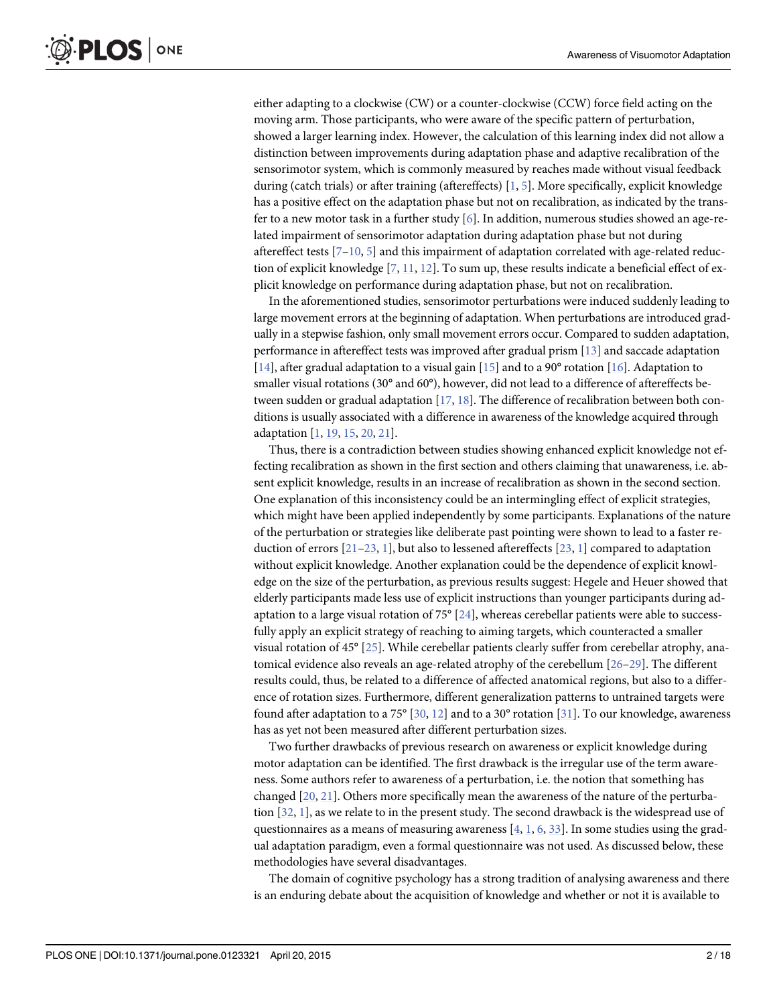<span id="page-1-0"></span>either adapting to a clockwise (CW) or a counter-clockwise (CCW) force field acting on the moving arm. Those participants, who were aware of the specific pattern of perturbation, showed a larger learning index. However, the calculation of this learning index did not allow a distinction between improvements during adaptation phase and adaptive recalibration of the sensorimotor system, which is commonly measured by reaches made without visual feedback during (catch trials) or after training (aftereffects) [[1,](#page-14-0) [5\]](#page-14-0). More specifically, explicit knowledge has a positive effect on the adaptation phase but not on recalibration, as indicated by the transfer to a new motor task in a further study [[6\]](#page-14-0). In addition, numerous studies showed an age-related impairment of sensorimotor adaptation during adaptation phase but not during aftereffect tests  $[7-10, 5]$  $[7-10, 5]$  $[7-10, 5]$  $[7-10, 5]$  $[7-10, 5]$  $[7-10, 5]$  and this impairment of adaptation correlated with age-related reduction of explicit knowledge  $[7, 11, 12]$  $[7, 11, 12]$  $[7, 11, 12]$  $[7, 11, 12]$  $[7, 11, 12]$  $[7, 11, 12]$ . To sum up, these results indicate a beneficial effect of explicit knowledge on performance during adaptation phase, but not on recalibration.

In the aforementioned studies, sensorimotor perturbations were induced suddenly leading to large movement errors at the beginning of adaptation. When perturbations are introduced gradually in a stepwise fashion, only small movement errors occur. Compared to sudden adaptation, performance in aftereffect tests was improved after gradual prism [\[13](#page-15-0)] and saccade adaptation [\[14\]](#page-15-0), after gradual adaptation to a visual gain [[15](#page-15-0)] and to a 90 $\degree$  rotation [[16](#page-15-0)]. Adaptation to smaller visual rotations (30° and 60°), however, did not lead to a difference of aftereffects between sudden or gradual adaptation  $[17, 18]$  $[17, 18]$  $[17, 18]$  $[17, 18]$ . The difference of recalibration between both conditions is usually associated with a difference in awareness of the knowledge acquired through adaptation [[1,](#page-14-0) [19](#page-15-0), [15](#page-15-0), [20,](#page-15-0) [21\]](#page-15-0).

Thus, there is a contradiction between studies showing enhanced explicit knowledge not effecting recalibration as shown in the first section and others claiming that unawareness, i.e. absent explicit knowledge, results in an increase of recalibration as shown in the second section. One explanation of this inconsistency could be an intermingling effect of explicit strategies, which might have been applied independently by some participants. Explanations of the nature of the perturbation or strategies like deliberate past pointing were shown to lead to a faster reduction of errors  $[21-23, 1]$  $[21-23, 1]$  $[21-23, 1]$  $[21-23, 1]$  $[21-23, 1]$ , but also to lessened aftereffects  $[23, 1]$  $[23, 1]$  compared to adaptation without explicit knowledge. Another explanation could be the dependence of explicit knowledge on the size of the perturbation, as previous results suggest: Hegele and Heuer showed that elderly participants made less use of explicit instructions than younger participants during adaptation to a large visual rotation of 75 $^{\circ}$  [[24](#page-15-0)], whereas cerebellar patients were able to successfully apply an explicit strategy of reaching to aiming targets, which counteracted a smaller visual rotation of 45° [\[25\]](#page-15-0). While cerebellar patients clearly suffer from cerebellar atrophy, anatomical evidence also reveals an age-related atrophy of the cerebellum [\[26](#page-15-0)–[29\]](#page-15-0). The different results could, thus, be related to a difference of affected anatomical regions, but also to a difference of rotation sizes. Furthermore, different generalization patterns to untrained targets were found after adaptation to a 75 $\degree$  [\[30,](#page-15-0) [12\]](#page-15-0) and to a 30 $\degree$  rotation [[31\]](#page-15-0). To our knowledge, awareness has as yet not been measured after different perturbation sizes.

Two further drawbacks of previous research on awareness or explicit knowledge during motor adaptation can be identified. The first drawback is the irregular use of the term awareness. Some authors refer to awareness of a perturbation, i.e. the notion that something has changed  $[20, 21]$  $[20, 21]$  $[20, 21]$  $[20, 21]$  $[20, 21]$ . Others more specifically mean the awareness of the nature of the perturbation [[32](#page-15-0), [1](#page-14-0)], as we relate to in the present study. The second drawback is the widespread use of questionnaires as a means of measuring awareness  $[4, 1, 6, 33]$  $[4, 1, 6, 33]$  $[4, 1, 6, 33]$  $[4, 1, 6, 33]$  $[4, 1, 6, 33]$  $[4, 1, 6, 33]$  $[4, 1, 6, 33]$  $[4, 1, 6, 33]$ . In some studies using the gradual adaptation paradigm, even a formal questionnaire was not used. As discussed below, these methodologies have several disadvantages.

The domain of cognitive psychology has a strong tradition of analysing awareness and there is an enduring debate about the acquisition of knowledge and whether or not it is available to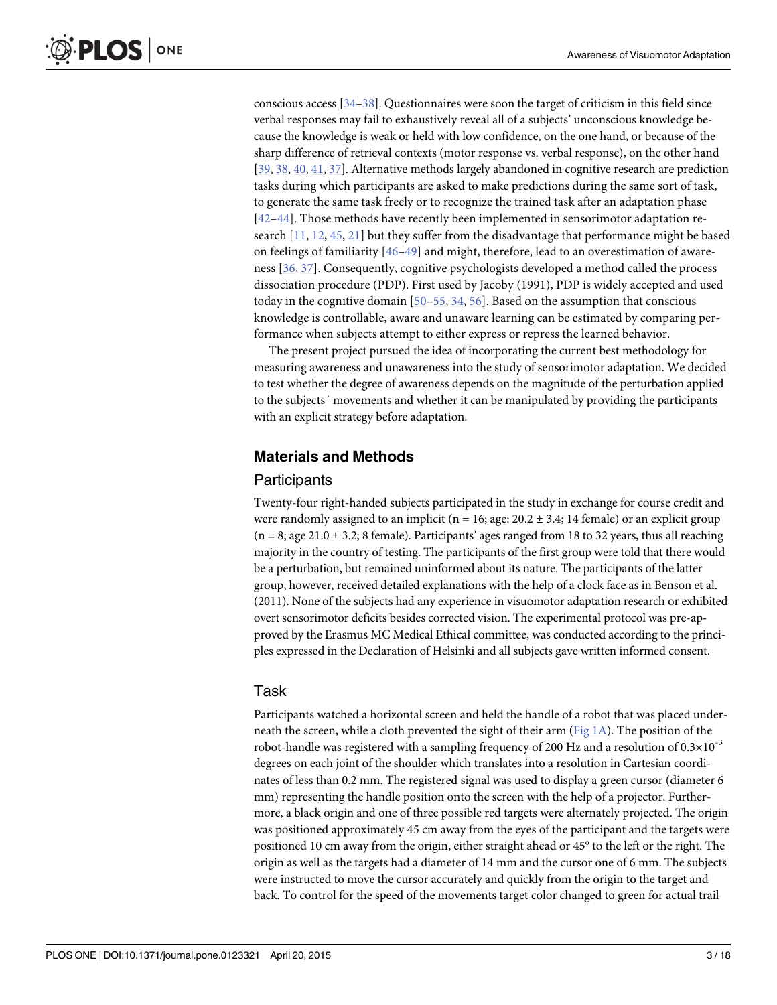<span id="page-2-0"></span>conscious access [[34](#page-16-0)–[38](#page-16-0)]. Questionnaires were soon the target of criticism in this field since verbal responses may fail to exhaustively reveal all of a subjects' unconscious knowledge because the knowledge is weak or held with low confidence, on the one hand, or because of the sharp difference of retrieval contexts (motor response vs. verbal response), on the other hand [\[39](#page-16-0), [38,](#page-16-0) [40](#page-16-0), [41](#page-16-0), [37\]](#page-16-0). Alternative methods largely abandoned in cognitive research are prediction tasks during which participants are asked to make predictions during the same sort of task, to generate the same task freely or to recognize the trained task after an adaptation phase [[42](#page-16-0)–[44](#page-16-0)]. Those methods have recently been implemented in sensorimotor adaptation research  $[11, 12, 45, 21]$  $[11, 12, 45, 21]$  $[11, 12, 45, 21]$  $[11, 12, 45, 21]$  $[11, 12, 45, 21]$  $[11, 12, 45, 21]$  $[11, 12, 45, 21]$  $[11, 12, 45, 21]$  $[11, 12, 45, 21]$  but they suffer from the disadvantage that performance might be based on feelings of familiarity [\[46](#page-16-0)–[49\]](#page-16-0) and might, therefore, lead to an overestimation of awareness [[36,](#page-16-0) [37](#page-16-0)]. Consequently, cognitive psychologists developed a method called the process dissociation procedure (PDP). First used by Jacoby (1991), PDP is widely accepted and used today in the cognitive domain [\[50](#page-16-0)–[55](#page-16-0), [34](#page-16-0), [56\]](#page-16-0). Based on the assumption that conscious knowledge is controllable, aware and unaware learning can be estimated by comparing performance when subjects attempt to either express or repress the learned behavior.

The present project pursued the idea of incorporating the current best methodology for measuring awareness and unawareness into the study of sensorimotor adaptation. We decided to test whether the degree of awareness depends on the magnitude of the perturbation applied to the subjects´ movements and whether it can be manipulated by providing the participants with an explicit strategy before adaptation.

## Materials and Methods

#### **Participants**

Twenty-four right-handed subjects participated in the study in exchange for course credit and were randomly assigned to an implicit ( $n = 16$ ; age:  $20.2 \pm 3.4$ ; 14 female) or an explicit group  $(n = 8; \text{age } 21.0 \pm 3.2; 8 \text{ female})$ . Participants' ages ranged from 18 to 32 years, thus all reaching majority in the country of testing. The participants of the first group were told that there would be a perturbation, but remained uninformed about its nature. The participants of the latter group, however, received detailed explanations with the help of a clock face as in Benson et al. (2011). None of the subjects had any experience in visuomotor adaptation research or exhibited overt sensorimotor deficits besides corrected vision. The experimental protocol was pre-approved by the Erasmus MC Medical Ethical committee, was conducted according to the principles expressed in the Declaration of Helsinki and all subjects gave written informed consent.

#### Task

Participants watched a horizontal screen and held the handle of a robot that was placed underneath the screen, while a cloth prevented the sight of their arm [\(Fig 1A](#page-3-0)). The position of the robot-handle was registered with a sampling frequency of 200 Hz and a resolution of  $0.3 \times 10^{-3}$ degrees on each joint of the shoulder which translates into a resolution in Cartesian coordinates of less than 0.2 mm. The registered signal was used to display a green cursor (diameter 6 mm) representing the handle position onto the screen with the help of a projector. Furthermore, a black origin and one of three possible red targets were alternately projected. The origin was positioned approximately 45 cm away from the eyes of the participant and the targets were positioned 10 cm away from the origin, either straight ahead or 45° to the left or the right. The origin as well as the targets had a diameter of 14 mm and the cursor one of 6 mm. The subjects were instructed to move the cursor accurately and quickly from the origin to the target and back. To control for the speed of the movements target color changed to green for actual trail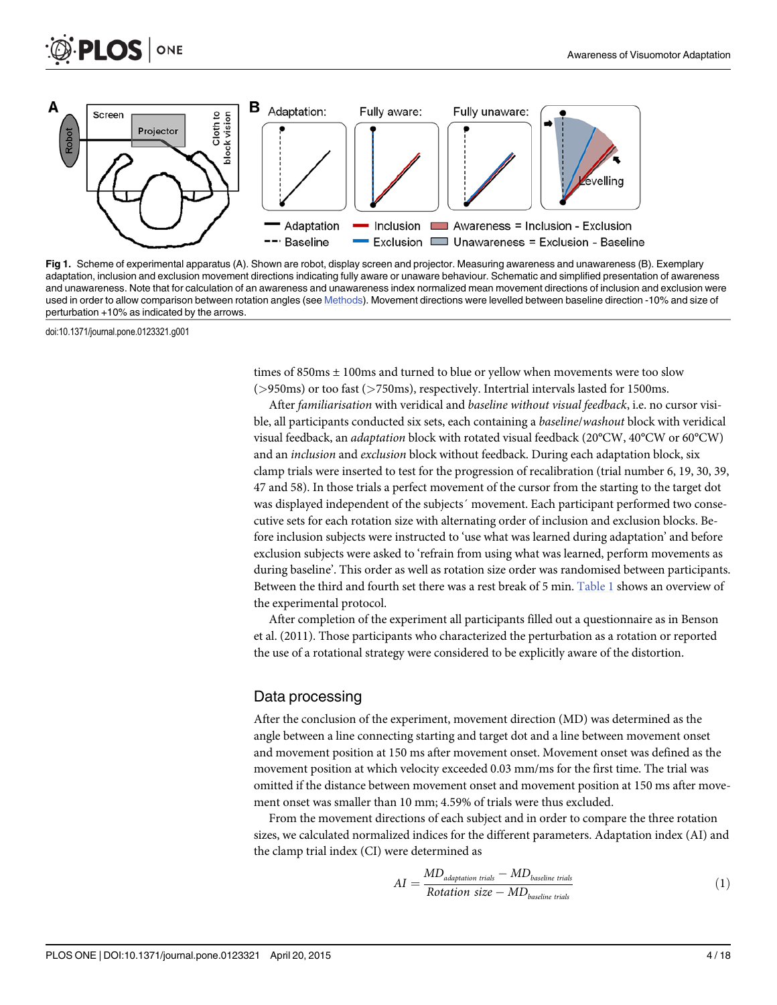<span id="page-3-0"></span>



[Fig 1.](#page-2-0) Scheme of experimental apparatus (A). Shown are robot, display screen and projector. Measuring awareness and unawareness (B). Exemplary adaptation, inclusion and exclusion movement directions indicating fully aware or unaware behaviour. Schematic and simplified presentation of awareness and unawareness. Note that for calculation of an awareness and unawareness index normalized mean movement directions of inclusion and exclusion were used in order to allow comparison between rotation angles (see [Methods\)](#page-2-0). Movement directions were levelled between baseline direction -10% and size of perturbation +10% as indicated by the arrows.

times of 850ms ± 100ms and turned to blue or yellow when movements were too slow (>950ms) or too fast (>750ms), respectively. Intertrial intervals lasted for 1500ms.

After familiarisation with veridical and baseline without visual feedback, i.e. no cursor visible, all participants conducted six sets, each containing a *baseline/washout* block with veridical visual feedback, an adaptation block with rotated visual feedback (20°CW, 40°CW or 60°CW) and an inclusion and exclusion block without feedback. During each adaptation block, six clamp trials were inserted to test for the progression of recalibration (trial number 6, 19, 30, 39, 47 and 58). In those trials a perfect movement of the cursor from the starting to the target dot was displayed independent of the subjects´ movement. Each participant performed two consecutive sets for each rotation size with alternating order of inclusion and exclusion blocks. Before inclusion subjects were instructed to 'use what was learned during adaptation' and before exclusion subjects were asked to 'refrain from using what was learned, perform movements as during baseline'. This order as well as rotation size order was randomised between participants. Between the third and fourth set there was a rest break of 5 min. [Table 1](#page-4-0) shows an overview of the experimental protocol.

After completion of the experiment all participants filled out a questionnaire as in Benson et al. (2011). Those participants who characterized the perturbation as a rotation or reported the use of a rotational strategy were considered to be explicitly aware of the distortion.

#### Data processing

After the conclusion of the experiment, movement direction (MD) was determined as the angle between a line connecting starting and target dot and a line between movement onset and movement position at 150 ms after movement onset. Movement onset was defined as the movement position at which velocity exceeded 0.03 mm/ms for the first time. The trial was omitted if the distance between movement onset and movement position at 150 ms after movement onset was smaller than 10 mm; 4.59% of trials were thus excluded.

From the movement directions of each subject and in order to compare the three rotation sizes, we calculated normalized indices for the different parameters. Adaptation index (AI) and the clamp trial index (CI) were determined as

$$
AI = \frac{MD_{adaptation \; trials} - MD_{baseline \; trials}}{Rotation \; size - MD_{baseline \; trials}} \tag{1}
$$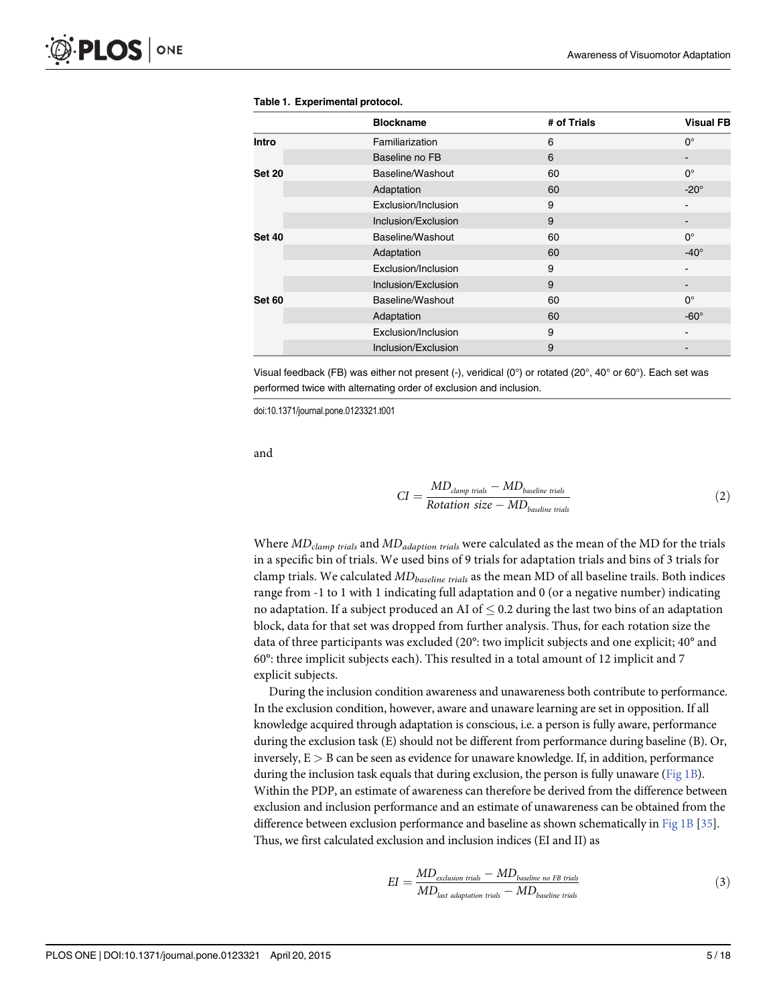|               | <b>Blockname</b>    | # of Trials | <b>Visual FB</b> |
|---------------|---------------------|-------------|------------------|
| Intro         | Familiarization     | 6           | $0^{\circ}$      |
|               | Baseline no FB      | 6           | ۰                |
| <b>Set 20</b> | Baseline/Washout    | 60          | $0^{\circ}$      |
|               | Adaptation          | 60          | $-20^\circ$      |
|               | Exclusion/Inclusion | 9           | $\blacksquare$   |
|               | Inclusion/Exclusion | 9           |                  |
| <b>Set 40</b> | Baseline/Washout    | 60          | $0^{\circ}$      |
|               | Adaptation          | 60          | $-40^\circ$      |
|               | Exclusion/Inclusion | 9           |                  |
|               | Inclusion/Exclusion | 9           | -                |
| <b>Set 60</b> | Baseline/Washout    | 60          | $0^{\circ}$      |
|               | Adaptation          | 60          | $-60^\circ$      |
|               | Exclusion/Inclusion | 9           |                  |
|               | Inclusion/Exclusion | 9           |                  |

#### <span id="page-4-0"></span>[Table 1.](#page-3-0) Experimental protocol.

Visual feedback (FB) was either not present (-), veridical (0°) or rotated (20°, 40° or 60°). Each set was performed twice with alternating order of exclusion and inclusion.

doi:10.1371/journal.pone.0123321.t001

and

$$
CI = \frac{MD_{clamp \; trials} - MD_{baseline \; trials}}{Rotation \; size - MD_{baseline \; trials}} \tag{2}
$$

Where  $MD_{clamp \ trials}$  and  $MD_{adaption \ trials}$  were calculated as the mean of the MD for the trials in a specific bin of trials. We used bins of 9 trials for adaptation trials and bins of 3 trials for clamp trials. We calculated  $MD_{baseline \ trials}$  as the mean MD of all baseline trails. Both indices range from -1 to 1 with 1 indicating full adaptation and 0 (or a negative number) indicating no adaptation. If a subject produced an AI of  $\leq 0.2$  during the last two bins of an adaptation block, data for that set was dropped from further analysis. Thus, for each rotation size the data of three participants was excluded (20°: two implicit subjects and one explicit; 40° and 60°: three implicit subjects each). This resulted in a total amount of 12 implicit and 7 explicit subjects.

During the inclusion condition awareness and unawareness both contribute to performance. In the exclusion condition, however, aware and unaware learning are set in opposition. If all knowledge acquired through adaptation is conscious, i.e. a person is fully aware, performance during the exclusion task (E) should not be different from performance during baseline (B). Or, inversely,  $E > B$  can be seen as evidence for unaware knowledge. If, in addition, performance during the inclusion task equals that during exclusion, the person is fully unaware ( $Fig 1B$ ). Within the PDP, an estimate of awareness can therefore be derived from the difference between exclusion and inclusion performance and an estimate of unawareness can be obtained from the difference between exclusion performance and baseline as shown schematically in [Fig 1B](#page-3-0) [\[35\]](#page-16-0). Thus, we first calculated exclusion and inclusion indices (EI and II) as

$$
EI = \frac{MD_{exclusion\ trials} - MD_{baseline\ no\ FB\ trials}}{MD_{last\ adaptation\ trials} - MD_{baseline\ trials}} \tag{3}
$$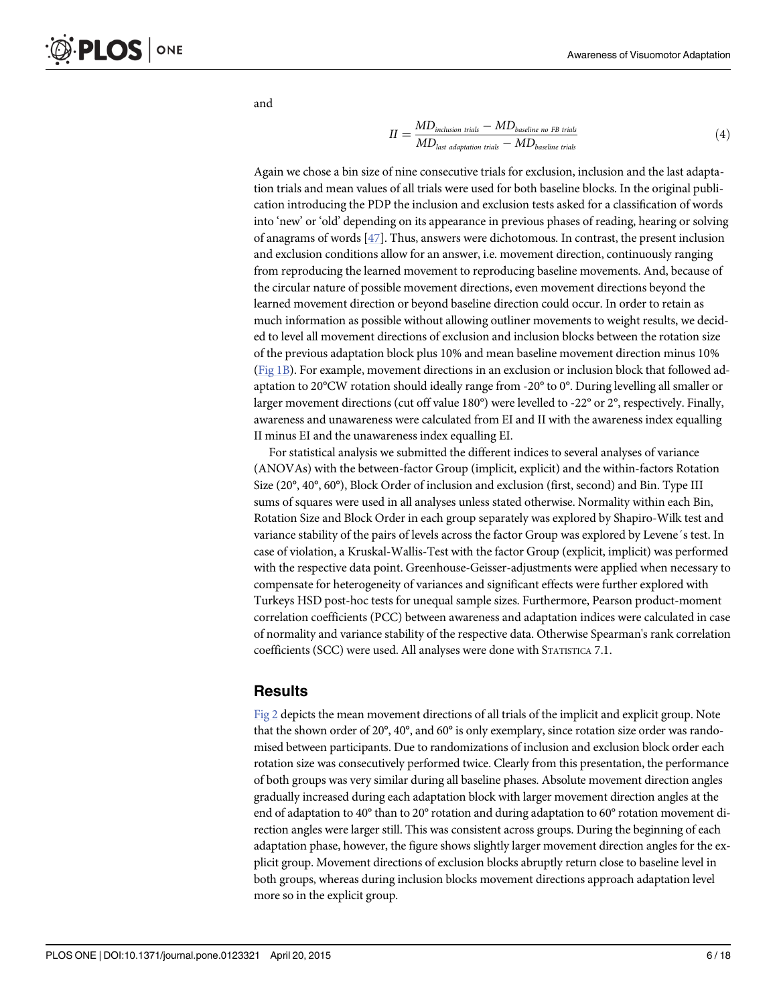<span id="page-5-0"></span>and

$$
II = \frac{MD_{\text{indusion trials}} - MD_{\text{baseline no FB trials}}}{MD_{\text{last adaptation trials}} - MD_{\text{baseline trials}}}
$$
(4)

Again we chose a bin size of nine consecutive trials for exclusion, inclusion and the last adaptation trials and mean values of all trials were used for both baseline blocks. In the original publication introducing the PDP the inclusion and exclusion tests asked for a classification of words into 'new' or 'old' depending on its appearance in previous phases of reading, hearing or solving of anagrams of words [\[47\]](#page-16-0). Thus, answers were dichotomous. In contrast, the present inclusion and exclusion conditions allow for an answer, i.e. movement direction, continuously ranging from reproducing the learned movement to reproducing baseline movements. And, because of the circular nature of possible movement directions, even movement directions beyond the learned movement direction or beyond baseline direction could occur. In order to retain as much information as possible without allowing outliner movements to weight results, we decided to level all movement directions of exclusion and inclusion blocks between the rotation size of the previous adaptation block plus 10% and mean baseline movement direction minus 10% [\(Fig 1B](#page-3-0)). For example, movement directions in an exclusion or inclusion block that followed adaptation to 20°CW rotation should ideally range from -20° to 0°. During levelling all smaller or larger movement directions (cut off value 180°) were levelled to -22° or 2°, respectively. Finally, awareness and unawareness were calculated from EI and II with the awareness index equalling II minus EI and the unawareness index equalling EI.

For statistical analysis we submitted the different indices to several analyses of variance (ANOVAs) with the between-factor Group (implicit, explicit) and the within-factors Rotation Size (20°, 40°, 60°), Block Order of inclusion and exclusion (first, second) and Bin. Type III sums of squares were used in all analyses unless stated otherwise. Normality within each Bin, Rotation Size and Block Order in each group separately was explored by Shapiro-Wilk test and variance stability of the pairs of levels across the factor Group was explored by Levene´s test. In case of violation, a Kruskal-Wallis-Test with the factor Group (explicit, implicit) was performed with the respective data point. Greenhouse-Geisser-adjustments were applied when necessary to compensate for heterogeneity of variances and significant effects were further explored with Turkeys HSD post-hoc tests for unequal sample sizes. Furthermore, Pearson product-moment correlation coefficients (PCC) between awareness and adaptation indices were calculated in case of normality and variance stability of the respective data. Otherwise Spearman's rank correlation coefficients (SCC) were used. All analyses were done with STATISTICA 7.1.

#### **Results**

[Fig 2](#page-6-0) depicts the mean movement directions of all trials of the implicit and explicit group. Note that the shown order of 20°, 40°, and 60° is only exemplary, since rotation size order was randomised between participants. Due to randomizations of inclusion and exclusion block order each rotation size was consecutively performed twice. Clearly from this presentation, the performance of both groups was very similar during all baseline phases. Absolute movement direction angles gradually increased during each adaptation block with larger movement direction angles at the end of adaptation to 40° than to 20° rotation and during adaptation to 60° rotation movement direction angles were larger still. This was consistent across groups. During the beginning of each adaptation phase, however, the figure shows slightly larger movement direction angles for the explicit group. Movement directions of exclusion blocks abruptly return close to baseline level in both groups, whereas during inclusion blocks movement directions approach adaptation level more so in the explicit group.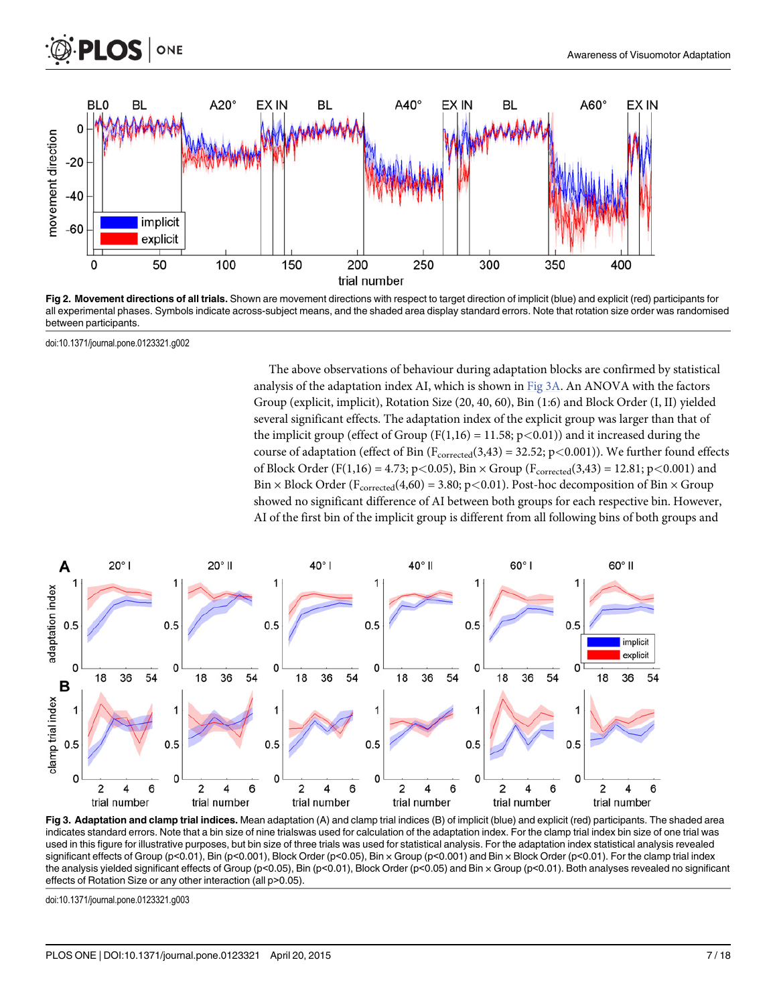<span id="page-6-0"></span>



[Fig 2. M](#page-5-0)ovement directions of all trials. Shown are movement directions with respect to target direction of implicit (blue) and explicit (red) participants for all experimental phases. Symbols indicate across-subject means, and the shaded area display standard errors. Note that rotation size order was randomised between participants.

The above observations of behaviour during adaptation blocks are confirmed by statistical analysis of the adaptation index AI, which is shown in Fig 3A. An ANOVA with the factors Group (explicit, implicit), Rotation Size (20, 40, 60), Bin (1:6) and Block Order (I, II) yielded several significant effects. The adaptation index of the explicit group was larger than that of the implicit group (effect of Group  $(F(1,16) = 11.58; p < 0.01)$ ) and it increased during the course of adaptation (effect of Bin ( $F_{corrected}(3,43) = 32.52$ ; p<0.001)). We further found effects of Block Order (F(1,16) = 4.73; p<0.05), Bin  $\times$  Group (F<sub>corrected</sub>(3,43) = 12.81; p<0.001) and Bin  $\times$  Block Order (F<sub>corrected</sub>(4,60) = 3.80; p<0.01). Post-hoc decomposition of Bin  $\times$  Group showed no significant difference of AI between both groups for each respective bin. However, AI of the first bin of the implicit group is different from all following bins of both groups and



Fig 3. Adaptation and clamp trial indices. Mean adaptation (A) and clamp trial indices (B) of implicit (blue) and explicit (red) participants. The shaded area indicates standard errors. Note that a bin size of nine trialswas used for calculation of the adaptation index. For the clamp trial index bin size of one trial was used in this figure for illustrative purposes, but bin size of three trials was used for statistical analysis. For the adaptation index statistical analysis revealed significant effects of Group (p<0.01), Bin (p<0.001), Block Order (p<0.05), Bin × Group (p<0.001) and Bin × Block Order (p<0.01). For the clamp trial index the analysis yielded significant effects of Group (p<0.05), Bin (p<0.01), Block Order (p<0.05) and Bin × Group (p<0.01). Both analyses revealed no significant effects of Rotation Size or any other interaction (all p>0.05).

doi:10.1371/journal.pone.0123321.g003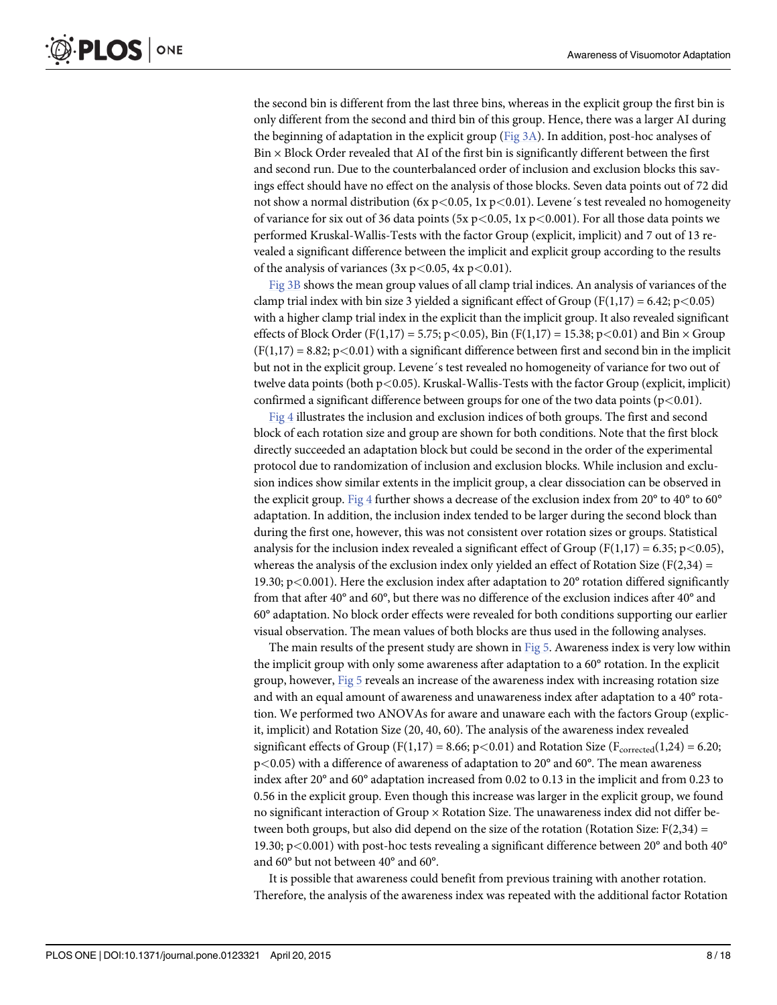<span id="page-7-0"></span>the second bin is different from the last three bins, whereas in the explicit group the first bin is only different from the second and third bin of this group. Hence, there was a larger AI during the beginning of adaptation in the explicit group ( $Fig 3A$ ). In addition, post-hoc analyses of  $Bin \times Block$  Order revealed that AI of the first bin is significantly different between the first and second run. Due to the counterbalanced order of inclusion and exclusion blocks this savings effect should have no effect on the analysis of those blocks. Seven data points out of 72 did not show a normal distribution (6x p<0.05, 1x p<0.01). Levene's test revealed no homogeneity of variance for six out of 36 data points (5x p<0.05, 1x p<0.001). For all those data points we performed Kruskal-Wallis-Tests with the factor Group (explicit, implicit) and 7 out of 13 revealed a significant difference between the implicit and explicit group according to the results of the analysis of variances  $(3x p<0.05, 4x p<0.01)$ .

[Fig 3B](#page-6-0) shows the mean group values of all clamp trial indices. An analysis of variances of the clamp trial index with bin size 3 yielded a significant effect of Group ( $F(1,17) = 6.42$ ; p $<0.05$ ) with a higher clamp trial index in the explicit than the implicit group. It also revealed significant effects of Block Order (F(1,17) = 5.75; p<0.05), Bin (F(1,17) = 15.38; p<0.01) and Bin  $\times$  Group  $(F(1,17) = 8.82; p < 0.01)$  with a significant difference between first and second bin in the implicit but not in the explicit group. Levene´s test revealed no homogeneity of variance for two out of twelve data points (both p<0.05). Kruskal-Wallis-Tests with the factor Group (explicit, implicit) confirmed a significant difference between groups for one of the two data points ( $p<0.01$ ).

[Fig 4](#page-8-0) illustrates the inclusion and exclusion indices of both groups. The first and second block of each rotation size and group are shown for both conditions. Note that the first block directly succeeded an adaptation block but could be second in the order of the experimental protocol due to randomization of inclusion and exclusion blocks. While inclusion and exclusion indices show similar extents in the implicit group, a clear dissociation can be observed in the explicit group. [Fig 4](#page-8-0) further shows a decrease of the exclusion index from 20° to 40° to 60° adaptation. In addition, the inclusion index tended to be larger during the second block than during the first one, however, this was not consistent over rotation sizes or groups. Statistical analysis for the inclusion index revealed a significant effect of Group ( $F(1,17) = 6.35$ ; p<0.05), whereas the analysis of the exclusion index only yielded an effect of Rotation Size ( $F(2,34) =$ 19.30; p $\lt$ 0.001). Here the exclusion index after adaptation to 20 $\degree$  rotation differed significantly from that after 40° and 60°, but there was no difference of the exclusion indices after 40° and 60° adaptation. No block order effects were revealed for both conditions supporting our earlier visual observation. The mean values of both blocks are thus used in the following analyses.

The main results of the present study are shown in [Fig 5.](#page-9-0) Awareness index is very low within the implicit group with only some awareness after adaptation to a 60° rotation. In the explicit group, however,  $Fig 5$  reveals an increase of the awareness index with increasing rotation size and with an equal amount of awareness and unawareness index after adaptation to a 40° rotation. We performed two ANOVAs for aware and unaware each with the factors Group (explicit, implicit) and Rotation Size (20, 40, 60). The analysis of the awareness index revealed significant effects of Group (F(1,17) = 8.66; p<0.01) and Rotation Size ( $F<sub>corrected</sub>(1,24) = 6.20$ ;  $p<0.05$ ) with a difference of awareness of adaptation to 20 $^{\circ}$  and 60 $^{\circ}$ . The mean awareness index after 20° and 60° adaptation increased from 0.02 to 0.13 in the implicit and from 0.23 to 0.56 in the explicit group. Even though this increase was larger in the explicit group, we found no significant interaction of Group × Rotation Size. The unawareness index did not differ between both groups, but also did depend on the size of the rotation (Rotation Size:  $F(2,34) =$ 19.30; p $\lt$ 0.001) with post-hoc tests revealing a significant difference between 20 $\degree$  and both 40 $\degree$ and 60° but not between 40° and 60°.

It is possible that awareness could benefit from previous training with another rotation. Therefore, the analysis of the awareness index was repeated with the additional factor Rotation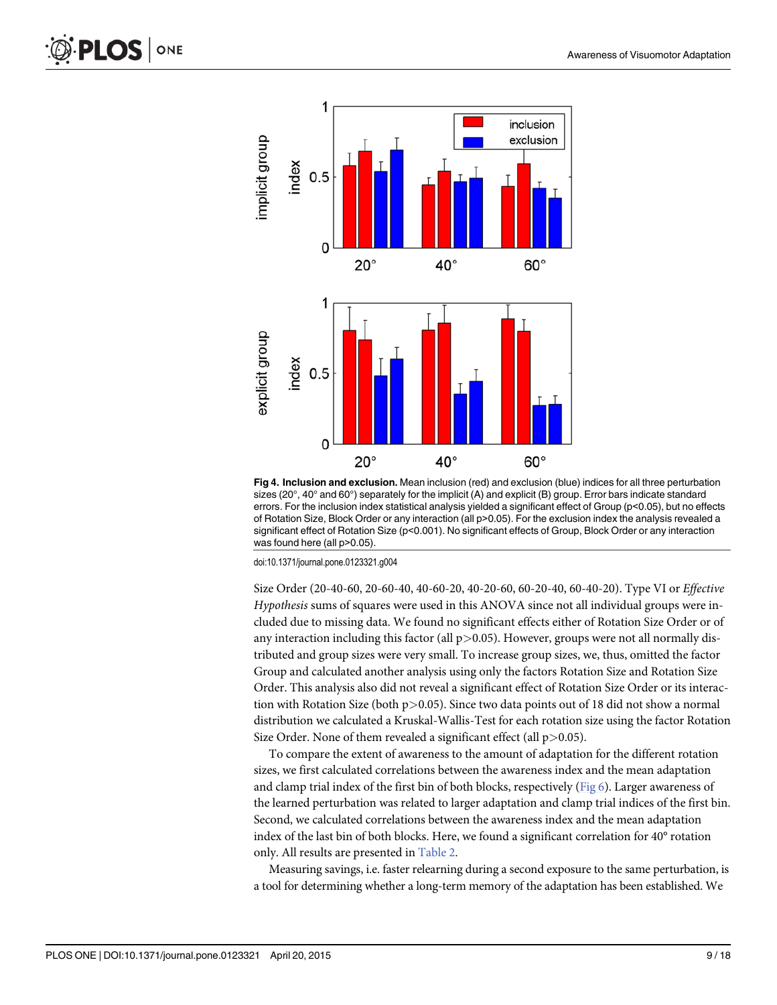<span id="page-8-0"></span>



[Fig 4. I](#page-7-0)nclusion and exclusion. Mean inclusion (red) and exclusion (blue) indices for all three perturbation sizes (20°, 40° and 60°) separately for the implicit (A) and explicit (B) group. Error bars indicate standard errors. For the inclusion index statistical analysis yielded a significant effect of Group (p<0.05), but no effects of Rotation Size, Block Order or any interaction (all p>0.05). For the exclusion index the analysis revealed a significant effect of Rotation Size (p<0.001). No significant effects of Group, Block Order or any interaction was found here (all p>0.05).

Size Order (20-40-60, 20-60-40, 40-60-20, 40-20-60, 60-20-40, 60-40-20). Type VI or Effective Hypothesis sums of squares were used in this ANOVA since not all individual groups were included due to missing data. We found no significant effects either of Rotation Size Order or of any interaction including this factor (all  $p>0.05$ ). However, groups were not all normally distributed and group sizes were very small. To increase group sizes, we, thus, omitted the factor Group and calculated another analysis using only the factors Rotation Size and Rotation Size Order. This analysis also did not reveal a significant effect of Rotation Size Order or its interaction with Rotation Size (both p>0.05). Since two data points out of 18 did not show a normal distribution we calculated a Kruskal-Wallis-Test for each rotation size using the factor Rotation Size Order. None of them revealed a significant effect (all  $p > 0.05$ ).

To compare the extent of awareness to the amount of adaptation for the different rotation sizes, we first calculated correlations between the awareness index and the mean adaptation and clamp trial index of the first bin of both blocks, respectively [\(Fig 6](#page-10-0)). Larger awareness of the learned perturbation was related to larger adaptation and clamp trial indices of the first bin. Second, we calculated correlations between the awareness index and the mean adaptation index of the last bin of both blocks. Here, we found a significant correlation for 40° rotation only. All results are presented in [Table 2.](#page-10-0)

Measuring savings, i.e. faster relearning during a second exposure to the same perturbation, is a tool for determining whether a long-term memory of the adaptation has been established. We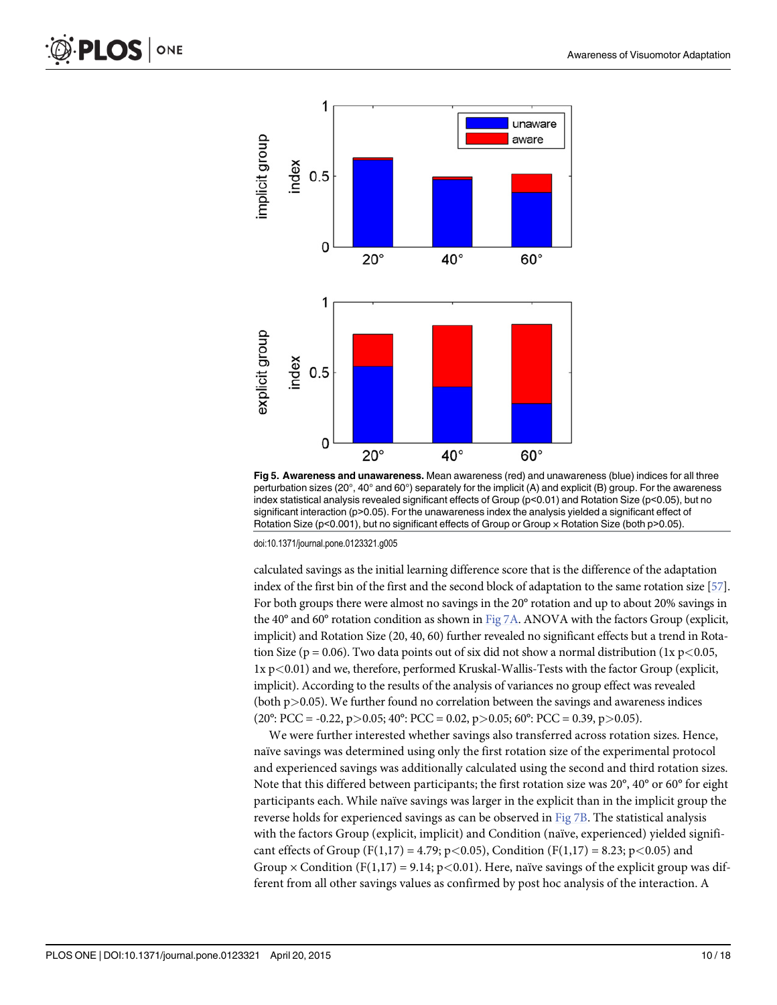<span id="page-9-0"></span>

[Fig 5. A](#page-7-0)wareness and unawareness. Mean awareness (red) and unawareness (blue) indices for all three perturbation sizes (20°, 40° and 60°) separately for the implicit (A) and explicit (B) group. For the awareness index statistical analysis revealed significant effects of Group (p<0.01) and Rotation Size (p<0.05), but no significant interaction (p>0.05). For the unawareness index the analysis yielded a significant effect of Rotation Size (p<0.001), but no significant effects of Group or Group x Rotation Size (both p>0.05).

calculated savings as the initial learning difference score that is the difference of the adaptation index of the first bin of the first and the second block of adaptation to the same rotation size [[57](#page-16-0)]. For both groups there were almost no savings in the 20° rotation and up to about 20% savings in the 40° and 60° rotation condition as shown in [Fig 7A](#page-11-0). ANOVA with the factors Group (explicit, implicit) and Rotation Size (20, 40, 60) further revealed no significant effects but a trend in Rotation Size ( $p = 0.06$ ). Two data points out of six did not show a normal distribution (1x  $p < 0.05$ , 1x p<0.01) and we, therefore, performed Kruskal-Wallis-Tests with the factor Group (explicit, implicit). According to the results of the analysis of variances no group effect was revealed (both  $p > 0.05$ ). We further found no correlation between the savings and awareness indices  $(20^{\circ}:$  PCC = -0.22, p > 0.05; 40°: PCC = 0.02, p > 0.05; 60°: PCC = 0.39, p > 0.05).

We were further interested whether savings also transferred across rotation sizes. Hence, naïve savings was determined using only the first rotation size of the experimental protocol and experienced savings was additionally calculated using the second and third rotation sizes. Note that this differed between participants; the first rotation size was 20°, 40° or 60° for eight participants each. While naïve savings was larger in the explicit than in the implicit group the reverse holds for experienced savings as can be observed in [Fig 7B](#page-11-0). The statistical analysis with the factors Group (explicit, implicit) and Condition (naïve, experienced) yielded significant effects of Group (F(1,17) = 4.79; p<0.05), Condition (F(1,17) = 8.23; p<0.05) and Group  $\times$  Condition (F(1,17) = 9.14; p < 0.01). Here, naïve savings of the explicit group was different from all other savings values as confirmed by post hoc analysis of the interaction. A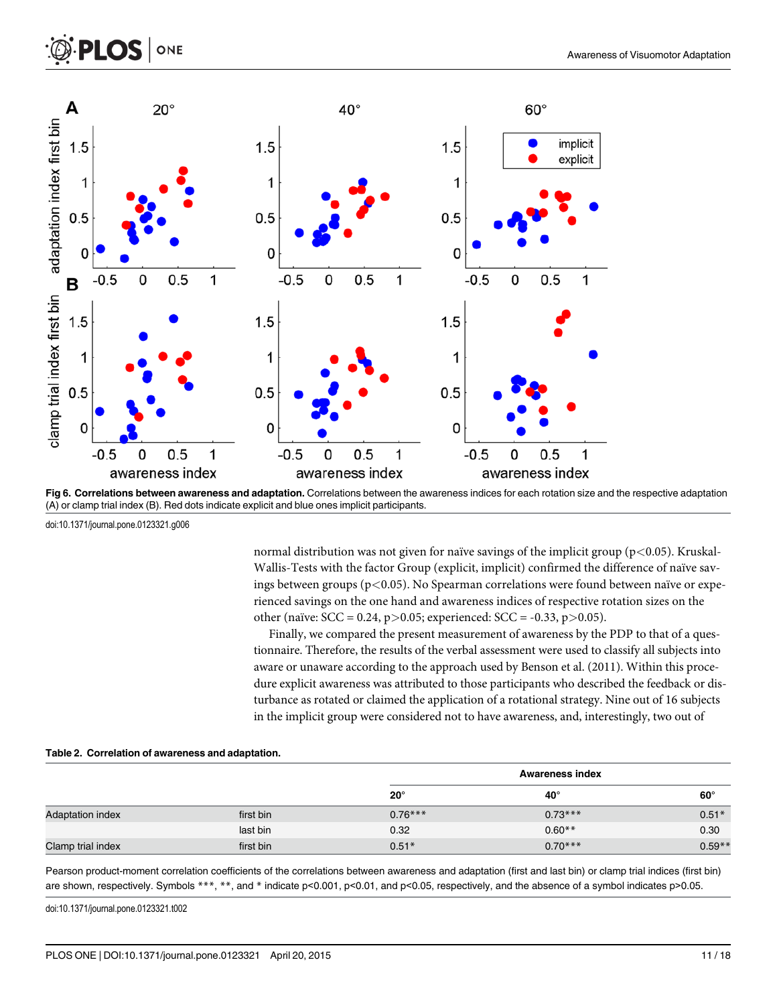<span id="page-10-0"></span>



[Fig 6. C](#page-8-0)orrelations between awareness and adaptation. Correlations between the awareness indices for each rotation size and the respective adaptation (A) or clamp trial index (B). Red dots indicate explicit and blue ones implicit participants.

normal distribution was not given for naïve savings of the implicit group ( $p$ <0.05). Kruskal-Wallis-Tests with the factor Group (explicit, implicit) confirmed the difference of naïve savings between groups ( $p$ <0.05). No Spearman correlations were found between naïve or experienced savings on the one hand and awareness indices of respective rotation sizes on the other (naïve:  $SCC = 0.24$ ,  $p > 0.05$ ; experienced:  $SCC = -0.33$ ,  $p > 0.05$ ).

Finally, we compared the present measurement of awareness by the PDP to that of a questionnaire. Therefore, the results of the verbal assessment were used to classify all subjects into aware or unaware according to the approach used by Benson et al. (2011). Within this procedure explicit awareness was attributed to those participants who described the feedback or disturbance as rotated or claimed the application of a rotational strategy. Nine out of 16 subjects in the implicit group were considered not to have awareness, and, interestingly, two out of

|                         |           |              | <b>Awareness index</b> |            |  |
|-------------------------|-----------|--------------|------------------------|------------|--|
|                         |           | $20^{\circ}$ | $40^{\circ}$           | $60^\circ$ |  |
| <b>Adaptation index</b> | first bin | $0.76***$    | $0.73***$              | $0.51*$    |  |
|                         | last bin  | 0.32         | $0.60**$               | 0.30       |  |
| Clamp trial index       | first bin | $0.51*$      | $0.70***$              | $0.59**$   |  |

[Table 2.](#page-8-0) Correlation of awareness and adaptation.

Pearson product-moment correlation coefficients of the correlations between awareness and adaptation (first and last bin) or clamp trial indices (first bin) are shown, respectively. Symbols \*\*\*, \*\*, and \* indicate p<0.001, p<0.01, and p<0.05, respectively, and the absence of a symbol indicates p>0.05.

doi:10.1371/journal.pone.0123321.t002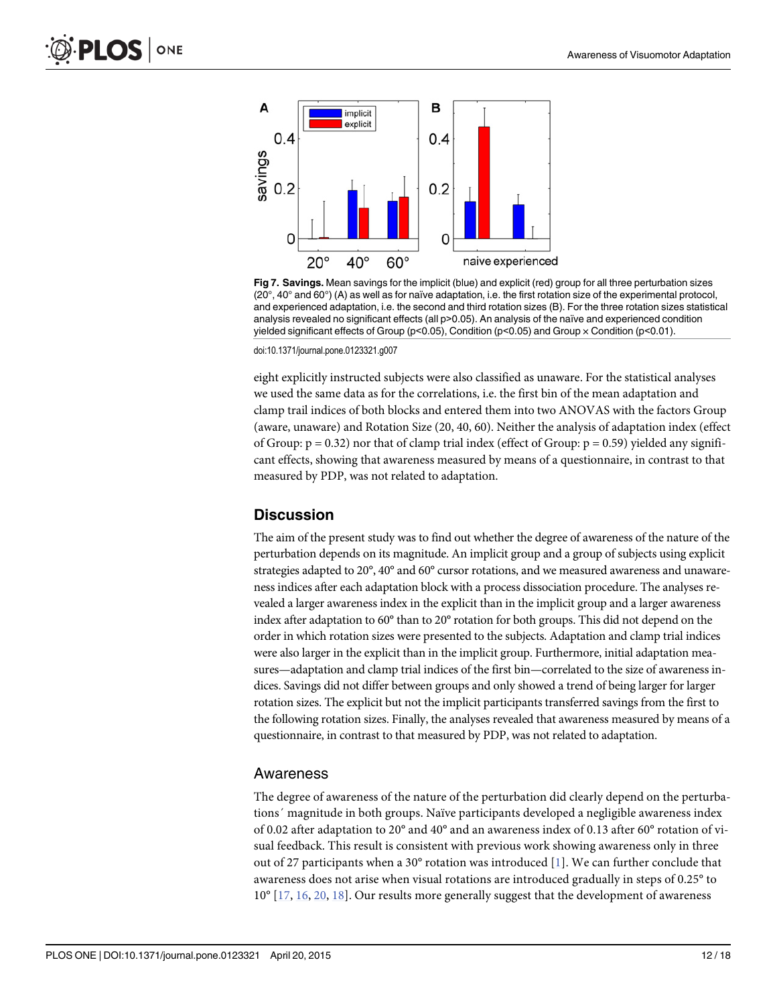<span id="page-11-0"></span>

[Fig 7. S](#page-9-0)avings. Mean savings for the implicit (blue) and explicit (red) group for all three perturbation sizes  $(20^\circ, 40^\circ, \text{and } 60^\circ)$  (A) as well as for naïve adaptation, i.e. the first rotation size of the experimental protocol, and experienced adaptation, i.e. the second and third rotation sizes (B). For the three rotation sizes statistical analysis revealed no significant effects (all p>0.05). An analysis of the naïve and experienced condition yielded significant effects of Group (p<0.05), Condition (p<0.05) and Group × Condition (p<0.01).

doi:10.1371/journal.pone.0123321.g007

eight explicitly instructed subjects were also classified as unaware. For the statistical analyses we used the same data as for the correlations, i.e. the first bin of the mean adaptation and clamp trail indices of both blocks and entered them into two ANOVAS with the factors Group (aware, unaware) and Rotation Size (20, 40, 60). Neither the analysis of adaptation index (effect of Group:  $p = 0.32$ ) nor that of clamp trial index (effect of Group:  $p = 0.59$ ) yielded any significant effects, showing that awareness measured by means of a questionnaire, in contrast to that measured by PDP, was not related to adaptation.

#### **Discussion**

The aim of the present study was to find out whether the degree of awareness of the nature of the perturbation depends on its magnitude. An implicit group and a group of subjects using explicit strategies adapted to 20°, 40° and 60° cursor rotations, and we measured awareness and unawareness indices after each adaptation block with a process dissociation procedure. The analyses revealed a larger awareness index in the explicit than in the implicit group and a larger awareness index after adaptation to 60° than to 20° rotation for both groups. This did not depend on the order in which rotation sizes were presented to the subjects. Adaptation and clamp trial indices were also larger in the explicit than in the implicit group. Furthermore, initial adaptation measures—adaptation and clamp trial indices of the first bin—correlated to the size of awareness indices. Savings did not differ between groups and only showed a trend of being larger for larger rotation sizes. The explicit but not the implicit participants transferred savings from the first to the following rotation sizes. Finally, the analyses revealed that awareness measured by means of a questionnaire, in contrast to that measured by PDP, was not related to adaptation.

#### Awareness

The degree of awareness of the nature of the perturbation did clearly depend on the perturbations´ magnitude in both groups. Naïve participants developed a negligible awareness index of 0.02 after adaptation to 20° and 40° and an awareness index of 0.13 after 60° rotation of visual feedback. This result is consistent with previous work showing awareness only in three out of 27 participants when a 30° rotation was introduced [[1](#page-14-0)]. We can further conclude that awareness does not arise when visual rotations are introduced gradually in steps of 0.25° to 10° [[17,](#page-15-0) [16,](#page-15-0) [20](#page-15-0), [18](#page-15-0)]. Our results more generally suggest that the development of awareness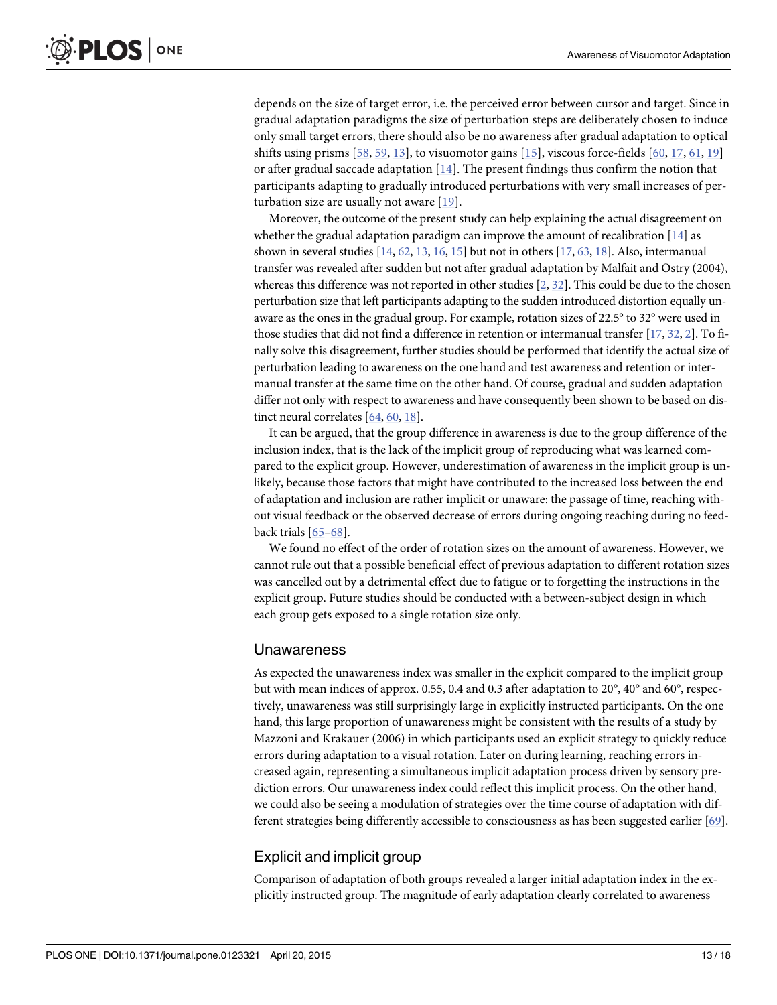<span id="page-12-0"></span>depends on the size of target error, i.e. the perceived error between cursor and target. Since in gradual adaptation paradigms the size of perturbation steps are deliberately chosen to induce only small target errors, there should also be no awareness after gradual adaptation to optical shifts using prisms [\[58](#page-16-0), [59](#page-16-0), [13](#page-15-0)], to visuomotor gains [[15](#page-15-0)], viscous force-fields [[60](#page-16-0), [17,](#page-15-0) [61,](#page-17-0) [19](#page-15-0)] or after gradual saccade adaptation [[14\]](#page-15-0). The present findings thus confirm the notion that participants adapting to gradually introduced perturbations with very small increases of perturbation size are usually not aware [\[19](#page-15-0)].

Moreover, the outcome of the present study can help explaining the actual disagreement on whether the gradual adaptation paradigm can improve the amount of recalibration  $[14]$  as shown in several studies  $[14, 62, 13, 16, 15]$  $[14, 62, 13, 16, 15]$  $[14, 62, 13, 16, 15]$  $[14, 62, 13, 16, 15]$  $[14, 62, 13, 16, 15]$  $[14, 62, 13, 16, 15]$  $[14, 62, 13, 16, 15]$  $[14, 62, 13, 16, 15]$  $[14, 62, 13, 16, 15]$  $[14, 62, 13, 16, 15]$  but not in others  $[17, 63, 18]$  $[17, 63, 18]$  $[17, 63, 18]$  $[17, 63, 18]$  $[17, 63, 18]$ . Also, intermanual transfer was revealed after sudden but not after gradual adaptation by Malfait and Ostry (2004), whereas this difference was not reported in other studies  $[2, 32]$  $[2, 32]$  $[2, 32]$  $[2, 32]$  $[2, 32]$ . This could be due to the chosen perturbation size that left participants adapting to the sudden introduced distortion equally unaware as the ones in the gradual group. For example, rotation sizes of 22.5° to 32° were used in those studies that did not find a difference in retention or intermanual transfer [\[17,](#page-15-0) [32,](#page-15-0) [2\]](#page-14-0). To finally solve this disagreement, further studies should be performed that identify the actual size of perturbation leading to awareness on the one hand and test awareness and retention or intermanual transfer at the same time on the other hand. Of course, gradual and sudden adaptation differ not only with respect to awareness and have consequently been shown to be based on dis-tinct neural correlates [[64](#page-17-0), [60](#page-16-0), [18](#page-15-0)].

It can be argued, that the group difference in awareness is due to the group difference of the inclusion index, that is the lack of the implicit group of reproducing what was learned compared to the explicit group. However, underestimation of awareness in the implicit group is unlikely, because those factors that might have contributed to the increased loss between the end of adaptation and inclusion are rather implicit or unaware: the passage of time, reaching without visual feedback or the observed decrease of errors during ongoing reaching during no feedback trials [\[65](#page-17-0)–[68](#page-17-0)].

We found no effect of the order of rotation sizes on the amount of awareness. However, we cannot rule out that a possible beneficial effect of previous adaptation to different rotation sizes was cancelled out by a detrimental effect due to fatigue or to forgetting the instructions in the explicit group. Future studies should be conducted with a between-subject design in which each group gets exposed to a single rotation size only.

#### Unawareness

As expected the unawareness index was smaller in the explicit compared to the implicit group but with mean indices of approx. 0.55, 0.4 and 0.3 after adaptation to 20°, 40° and 60°, respectively, unawareness was still surprisingly large in explicitly instructed participants. On the one hand, this large proportion of unawareness might be consistent with the results of a study by Mazzoni and Krakauer (2006) in which participants used an explicit strategy to quickly reduce errors during adaptation to a visual rotation. Later on during learning, reaching errors increased again, representing a simultaneous implicit adaptation process driven by sensory prediction errors. Our unawareness index could reflect this implicit process. On the other hand, we could also be seeing a modulation of strategies over the time course of adaptation with different strategies being differently accessible to consciousness as has been suggested earlier [[69\]](#page-17-0).

#### Explicit and implicit group

Comparison of adaptation of both groups revealed a larger initial adaptation index in the explicitly instructed group. The magnitude of early adaptation clearly correlated to awareness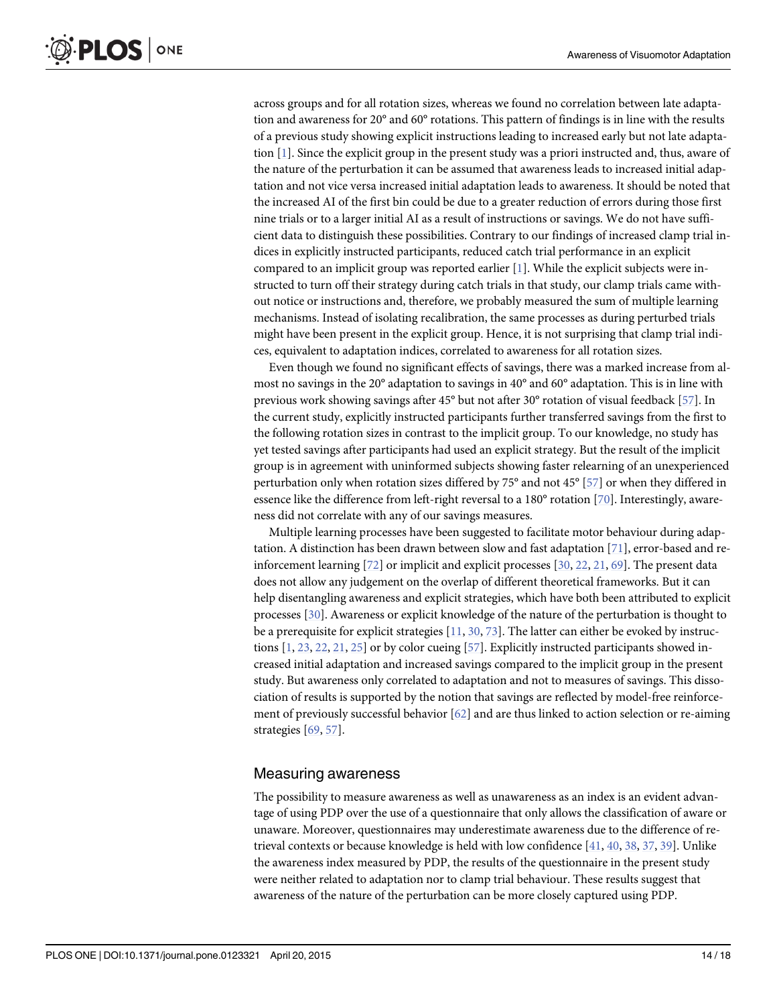<span id="page-13-0"></span>across groups and for all rotation sizes, whereas we found no correlation between late adaptation and awareness for 20° and 60° rotations. This pattern of findings is in line with the results of a previous study showing explicit instructions leading to increased early but not late adaptation [[1](#page-14-0)]. Since the explicit group in the present study was a priori instructed and, thus, aware of the nature of the perturbation it can be assumed that awareness leads to increased initial adaptation and not vice versa increased initial adaptation leads to awareness. It should be noted that the increased AI of the first bin could be due to a greater reduction of errors during those first nine trials or to a larger initial AI as a result of instructions or savings. We do not have sufficient data to distinguish these possibilities. Contrary to our findings of increased clamp trial indices in explicitly instructed participants, reduced catch trial performance in an explicit compared to an implicit group was reported earlier [\[1](#page-14-0)]. While the explicit subjects were instructed to turn off their strategy during catch trials in that study, our clamp trials came without notice or instructions and, therefore, we probably measured the sum of multiple learning mechanisms. Instead of isolating recalibration, the same processes as during perturbed trials might have been present in the explicit group. Hence, it is not surprising that clamp trial indices, equivalent to adaptation indices, correlated to awareness for all rotation sizes.

Even though we found no significant effects of savings, there was a marked increase from almost no savings in the 20° adaptation to savings in 40° and 60° adaptation. This is in line with previous work showing savings after 45° but not after 30° rotation of visual feedback [[57](#page-16-0)]. In the current study, explicitly instructed participants further transferred savings from the first to the following rotation sizes in contrast to the implicit group. To our knowledge, no study has yet tested savings after participants had used an explicit strategy. But the result of the implicit group is in agreement with uninformed subjects showing faster relearning of an unexperienced perturbation only when rotation sizes differed by 75° and not 45° [\[57\]](#page-16-0) or when they differed in essence like the difference from left-right reversal to a 180° rotation [\[70\]](#page-17-0). Interestingly, awareness did not correlate with any of our savings measures.

Multiple learning processes have been suggested to facilitate motor behaviour during adaptation. A distinction has been drawn between slow and fast adaptation [[71\]](#page-17-0), error-based and reinforcement learning [\[72\]](#page-17-0) or implicit and explicit processes [[30](#page-15-0), [22](#page-15-0), [21](#page-15-0), [69](#page-17-0)]. The present data does not allow any judgement on the overlap of different theoretical frameworks. But it can help disentangling awareness and explicit strategies, which have both been attributed to explicit processes [[30\]](#page-15-0). Awareness or explicit knowledge of the nature of the perturbation is thought to be a prerequisite for explicit strategies  $[11, 30, 73]$  $[11, 30, 73]$  $[11, 30, 73]$  $[11, 30, 73]$  $[11, 30, 73]$  $[11, 30, 73]$  $[11, 30, 73]$ . The latter can either be evoked by instruc-tions [\[1](#page-14-0), [23](#page-15-0), [22](#page-15-0), [21](#page-15-0), [25](#page-15-0)] or by color cueing [[57](#page-16-0)]. Explicitly instructed participants showed increased initial adaptation and increased savings compared to the implicit group in the present study. But awareness only correlated to adaptation and not to measures of savings. This dissociation of results is supported by the notion that savings are reflected by model-free reinforcement of previously successful behavior [\[62\]](#page-17-0) and are thus linked to action selection or re-aiming strategies [[69](#page-17-0), [57](#page-16-0)].

#### Measuring awareness

The possibility to measure awareness as well as unawareness as an index is an evident advantage of using PDP over the use of a questionnaire that only allows the classification of aware or unaware. Moreover, questionnaires may underestimate awareness due to the difference of retrieval contexts or because knowledge is held with low confidence [\[41](#page-16-0), [40](#page-16-0), [38,](#page-16-0) [37,](#page-16-0) [39\]](#page-16-0). Unlike the awareness index measured by PDP, the results of the questionnaire in the present study were neither related to adaptation nor to clamp trial behaviour. These results suggest that awareness of the nature of the perturbation can be more closely captured using PDP.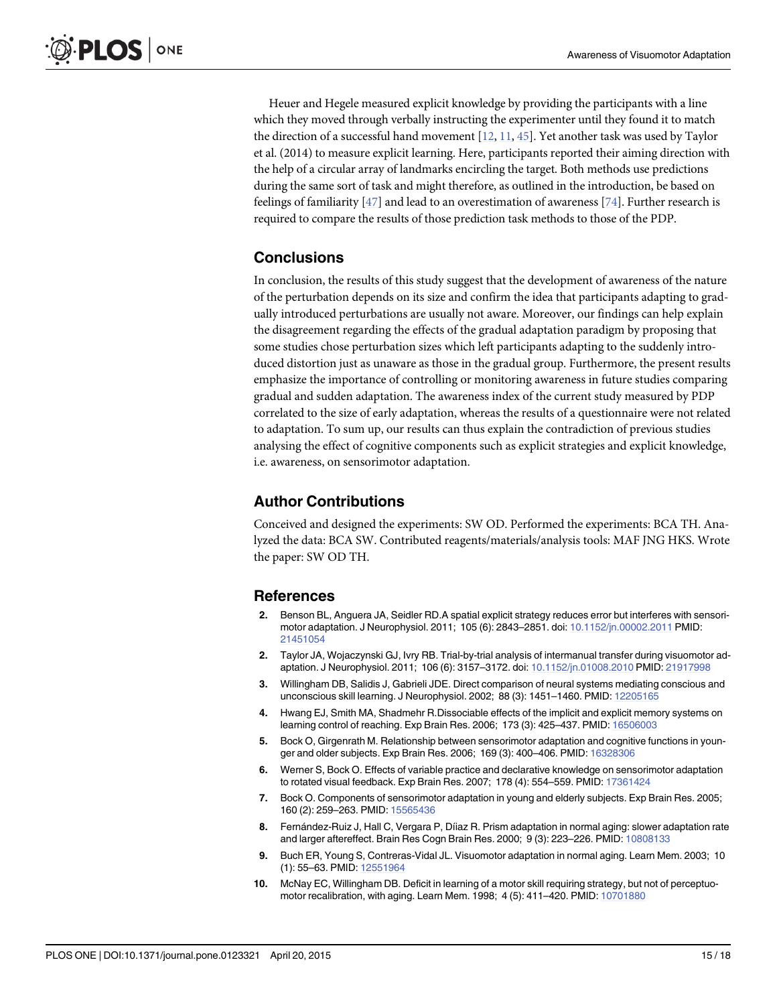<span id="page-14-0"></span>Heuer and Hegele measured explicit knowledge by providing the participants with a line which they moved through verbally instructing the experimenter until they found it to match the direction of a successful hand movement  $[12, 11, 45]$  $[12, 11, 45]$  $[12, 11, 45]$  $[12, 11, 45]$  $[12, 11, 45]$  $[12, 11, 45]$  $[12, 11, 45]$ . Yet another task was used by Taylor et al. (2014) to measure explicit learning. Here, participants reported their aiming direction with the help of a circular array of landmarks encircling the target. Both methods use predictions during the same sort of task and might therefore, as outlined in the introduction, be based on feelings of familiarity  $[47]$  and lead to an overestimation of awareness  $[74]$ . Further research is required to compare the results of those prediction task methods to those of the PDP.

## **Conclusions**

In conclusion, the results of this study suggest that the development of awareness of the nature of the perturbation depends on its size and confirm the idea that participants adapting to gradually introduced perturbations are usually not aware. Moreover, our findings can help explain the disagreement regarding the effects of the gradual adaptation paradigm by proposing that some studies chose perturbation sizes which left participants adapting to the suddenly introduced distortion just as unaware as those in the gradual group. Furthermore, the present results emphasize the importance of controlling or monitoring awareness in future studies comparing gradual and sudden adaptation. The awareness index of the current study measured by PDP correlated to the size of early adaptation, whereas the results of a questionnaire were not related to adaptation. To sum up, our results can thus explain the contradiction of previous studies analysing the effect of cognitive components such as explicit strategies and explicit knowledge, i.e. awareness, on sensorimotor adaptation.

# Author Contributions

Conceived and designed the experiments: SW OD. Performed the experiments: BCA TH. Analyzed the data: BCA SW. Contributed reagents/materials/analysis tools: MAF JNG HKS. Wrote the paper: SW OD TH.

## References

- [2.](#page-0-0) Benson BL, Anguera JA, Seidler RD.A spatial explicit strategy reduces error but interferes with sensorimotor adaptation. J Neurophysiol. 2011; 105 (6): 2843–2851. doi: [10.1152/jn.00002.2011](http://dx.doi.org/10.1152/jn.00002.2011) PMID: [21451054](http://www.ncbi.nlm.nih.gov/pubmed/21451054)
- [2.](#page-12-0) Taylor JA, Wojaczynski GJ, Ivry RB. Trial-by-trial analysis of intermanual transfer during visuomotor adaptation. J Neurophysiol. 2011; 106 (6): 3157–3172. doi: [10.1152/jn.01008.2010](http://dx.doi.org/10.1152/jn.01008.2010) PMID: [21917998](http://www.ncbi.nlm.nih.gov/pubmed/21917998)
- [3.](#page-0-0) Willingham DB, Salidis J, Gabrieli JDE. Direct comparison of neural systems mediating conscious and unconscious skill learning. J Neurophysiol. 2002; 88 (3): 1451–1460. PMID: [12205165](http://www.ncbi.nlm.nih.gov/pubmed/12205165)
- [4.](#page-0-0) Hwang EJ, Smith MA, Shadmehr R.Dissociable effects of the implicit and explicit memory systems on learning control of reaching. Exp Brain Res. 2006; 173 (3): 425–437. PMID: [16506003](http://www.ncbi.nlm.nih.gov/pubmed/16506003)
- [5.](#page-1-0) Bock O, Girgenrath M. Relationship between sensorimotor adaptation and cognitive functions in younger and older subjects. Exp Brain Res. 2006; 169 (3): 400–406. PMID: [16328306](http://www.ncbi.nlm.nih.gov/pubmed/16328306)
- [6.](#page-1-0) Werner S, Bock O. Effects of variable practice and declarative knowledge on sensorimotor adaptation to rotated visual feedback. Exp Brain Res. 2007; 178 (4): 554-559. PMID: [17361424](http://www.ncbi.nlm.nih.gov/pubmed/17361424)
- [7.](#page-1-0) Bock O. Components of sensorimotor adaptation in young and elderly subjects. Exp Brain Res. 2005; 160 (2): 259–263. PMID: [15565436](http://www.ncbi.nlm.nih.gov/pubmed/15565436)
- 8. Fernández-Ruiz J, Hall C, Vergara P, Díiaz R. Prism adaptation in normal aging: slower adaptation rate and larger aftereffect. Brain Res Cogn Brain Res. 2000; 9 (3): 223–226. PMID: [10808133](http://www.ncbi.nlm.nih.gov/pubmed/10808133)
- 9. Buch ER, Young S, Contreras-Vidal JL. Visuomotor adaptation in normal aging. Learn Mem. 2003; 10 (1): 55–63. PMID: [12551964](http://www.ncbi.nlm.nih.gov/pubmed/12551964)
- [10.](#page-1-0) McNay EC, Willingham DB. Deficit in learning of a motor skill requiring strategy, but not of perceptuomotor recalibration, with aging. Learn Mem. 1998; 4 (5): 411–420. PMID: [10701880](http://www.ncbi.nlm.nih.gov/pubmed/10701880)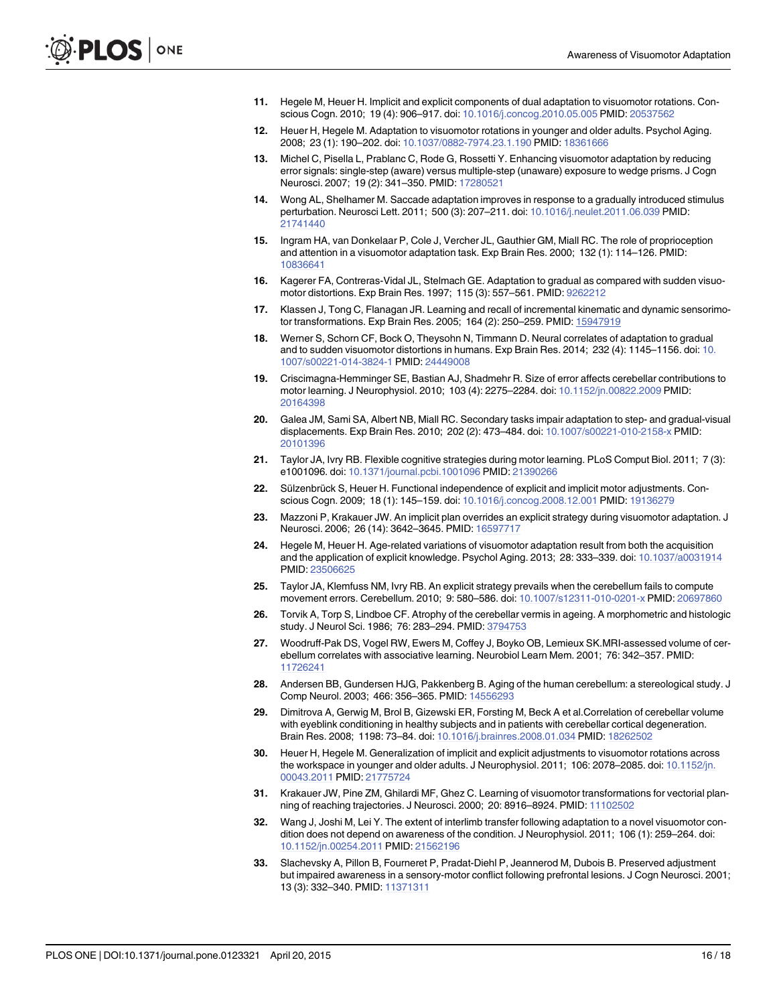- <span id="page-15-0"></span>[11.](#page-1-0) Hegele M, Heuer H. Implicit and explicit components of dual adaptation to visuomotor rotations. Conscious Cogn. 2010; 19 (4): 906–917. doi: [10.1016/j.concog.2010.05.005](http://dx.doi.org/10.1016/j.concog.2010.05.005) PMID: [20537562](http://www.ncbi.nlm.nih.gov/pubmed/20537562)
- [12.](#page-1-0) Heuer H, Hegele M. Adaptation to visuomotor rotations in younger and older adults. Psychol Aging. 2008; 23 (1): 190–202. doi: [10.1037/0882-7974.23.1.190](http://dx.doi.org/10.1037/0882-7974.23.1.190) PMID: [18361666](http://www.ncbi.nlm.nih.gov/pubmed/18361666)
- [13.](#page-1-0) Michel C, Pisella L, Prablanc C, Rode G, Rossetti Y. Enhancing visuomotor adaptation by reducing error signals: single-step (aware) versus multiple-step (unaware) exposure to wedge prisms. J Cogn Neurosci. 2007; 19 (2): 341–350. PMID: [17280521](http://www.ncbi.nlm.nih.gov/pubmed/17280521)
- [14.](#page-1-0) Wong AL, Shelhamer M. Saccade adaptation improves in response to a gradually introduced stimulus perturbation. Neurosci Lett. 2011; 500 (3): 207–211. doi: [10.1016/j.neulet.2011.06.039](http://dx.doi.org/10.1016/j.neulet.2011.06.039) PMID: [21741440](http://www.ncbi.nlm.nih.gov/pubmed/21741440)
- [15.](#page-1-0) Ingram HA, van Donkelaar P, Cole J, Vercher JL, Gauthier GM, Miall RC. The role of proprioception and attention in a visuomotor adaptation task. Exp Brain Res. 2000; 132 (1): 114–126. PMID: [10836641](http://www.ncbi.nlm.nih.gov/pubmed/10836641)
- [16.](#page-1-0) Kagerer FA, Contreras-Vidal JL, Stelmach GE. Adaptation to gradual as compared with sudden visuomotor distortions. Exp Brain Res. 1997; 115 (3): 557–561. PMID: [9262212](http://www.ncbi.nlm.nih.gov/pubmed/9262212)
- [17.](#page-1-0) Klassen J, Tong C, Flanagan JR. Learning and recall of incremental kinematic and dynamic sensorimotor transformations. Exp Brain Res. 2005; 164 (2): 250–259. PMID: [15947919](http://www.ncbi.nlm.nih.gov/pubmed/15947919)
- [18.](#page-1-0) Werner S, Schorn CF, Bock O, Theysohn N, Timmann D. Neural correlates of adaptation to gradual and to sudden visuomotor distortions in humans. Exp Brain Res. 2014; 232 (4): 1145–1156. doi: [10.](http://dx.doi.org/10.1007/s00221-014-3824-1) [1007/s00221-014-3824-1](http://dx.doi.org/10.1007/s00221-014-3824-1) PMID: [24449008](http://www.ncbi.nlm.nih.gov/pubmed/24449008)
- [19.](#page-1-0) Criscimagna-Hemminger SE, Bastian AJ, Shadmehr R. Size of error affects cerebellar contributions to motor learning. J Neurophysiol. 2010; 103 (4): 2275–2284. doi: [10.1152/jn.00822.2009](http://dx.doi.org/10.1152/jn.00822.2009) PMID: [20164398](http://www.ncbi.nlm.nih.gov/pubmed/20164398)
- [20.](#page-1-0) Galea JM, Sami SA, Albert NB, Miall RC. Secondary tasks impair adaptation to step- and gradual-visual displacements. Exp Brain Res. 2010; 202 (2): 473–484. doi: [10.1007/s00221-010-2158-x](http://dx.doi.org/10.1007/s00221-010-2158-x) PMID: [20101396](http://www.ncbi.nlm.nih.gov/pubmed/20101396)
- [21.](#page-1-0) Taylor JA, Ivry RB. Flexible cognitive strategies during motor learning. PLoS Comput Biol. 2011; 7 (3): e1001096. doi: [10.1371/journal.pcbi.1001096](http://dx.doi.org/10.1371/journal.pcbi.1001096) PMID: [21390266](http://www.ncbi.nlm.nih.gov/pubmed/21390266)
- [22.](#page-13-0) Sülzenbrück S, Heuer H. Functional independence of explicit and implicit motor adjustments. Conscious Cogn. 2009; 18 (1): 145–159. doi: [10.1016/j.concog.2008.12.001](http://dx.doi.org/10.1016/j.concog.2008.12.001) PMID: [19136279](http://www.ncbi.nlm.nih.gov/pubmed/19136279)
- [23.](#page-1-0) Mazzoni P, Krakauer JW. An implicit plan overrides an explicit strategy during visuomotor adaptation. J Neurosci. 2006; 26 (14): 3642–3645. PMID: [16597717](http://www.ncbi.nlm.nih.gov/pubmed/16597717)
- [24.](#page-1-0) Hegele M, Heuer H. Age-related variations of visuomotor adaptation result from both the acquisition and the application of explicit knowledge. Psychol Aging. 2013; 28: 333–339. doi: [10.1037/a0031914](http://dx.doi.org/10.1037/a0031914) PMID: [23506625](http://www.ncbi.nlm.nih.gov/pubmed/23506625)
- [25.](#page-1-0) Taylor JA, Klemfuss NM, Ivry RB. An explicit strategy prevails when the cerebellum fails to compute movement errors. Cerebellum. 2010; 9: 580–586. doi: [10.1007/s12311-010-0201-x](http://dx.doi.org/10.1007/s12311-010-0201-x) PMID: [20697860](http://www.ncbi.nlm.nih.gov/pubmed/20697860)
- [26.](#page-1-0) Torvik A, Torp S, Lindboe CF. Atrophy of the cerebellar vermis in ageing. A morphometric and histologic study. J Neurol Sci. 1986; 76: 283–294. PMID: [3794753](http://www.ncbi.nlm.nih.gov/pubmed/3794753)
- 27. Woodruff-Pak DS, Vogel RW, Ewers M, Coffey J, Boyko OB, Lemieux SK.MRI-assessed volume of cerebellum correlates with associative learning. Neurobiol Learn Mem. 2001; 76: 342–357. PMID: [11726241](http://www.ncbi.nlm.nih.gov/pubmed/11726241)
- 28. Andersen BB, Gundersen HJG, Pakkenberg B. Aging of the human cerebellum: a stereological study. J Comp Neurol. 2003; 466: 356–365. PMID: [14556293](http://www.ncbi.nlm.nih.gov/pubmed/14556293)
- [29.](#page-1-0) Dimitrova A, Gerwig M, Brol B, Gizewski ER, Forsting M, Beck A et al.Correlation of cerebellar volume with eyeblink conditioning in healthy subjects and in patients with cerebellar cortical degeneration. Brain Res. 2008; 1198: 73–84. doi: [10.1016/j.brainres.2008.01.034](http://dx.doi.org/10.1016/j.brainres.2008.01.034) PMID: [18262502](http://www.ncbi.nlm.nih.gov/pubmed/18262502)
- [30.](#page-1-0) Heuer H, Hegele M. Generalization of implicit and explicit adjustments to visuomotor rotations across the workspace in younger and older adults. J Neurophysiol. 2011; 106: 2078–2085. doi: [10.1152/jn.](http://dx.doi.org/10.1152/jn.00043.2011) [00043.2011](http://dx.doi.org/10.1152/jn.00043.2011) PMID: [21775724](http://www.ncbi.nlm.nih.gov/pubmed/21775724)
- [31.](#page-1-0) Krakauer JW, Pine ZM, Ghilardi MF, Ghez C. Learning of visuomotor transformations for vectorial planning of reaching trajectories. J Neurosci. 2000; 20: 8916–8924. PMID: [11102502](http://www.ncbi.nlm.nih.gov/pubmed/11102502)
- [32.](#page-1-0) Wang J, Joshi M, Lei Y. The extent of interlimb transfer following adaptation to a novel visuomotor condition does not depend on awareness of the condition. J Neurophysiol. 2011; 106 (1): 259–264. doi: [10.1152/jn.00254.2011](http://dx.doi.org/10.1152/jn.00254.2011) PMID: [21562196](http://www.ncbi.nlm.nih.gov/pubmed/21562196)
- [33.](#page-1-0) Slachevsky A, Pillon B, Fourneret P, Pradat-Diehl P, Jeannerod M, Dubois B. Preserved adjustment but impaired awareness in a sensory-motor conflict following prefrontal lesions. J Cogn Neurosci. 2001; 13 (3): 332-340. PMID: [11371311](http://www.ncbi.nlm.nih.gov/pubmed/11371311)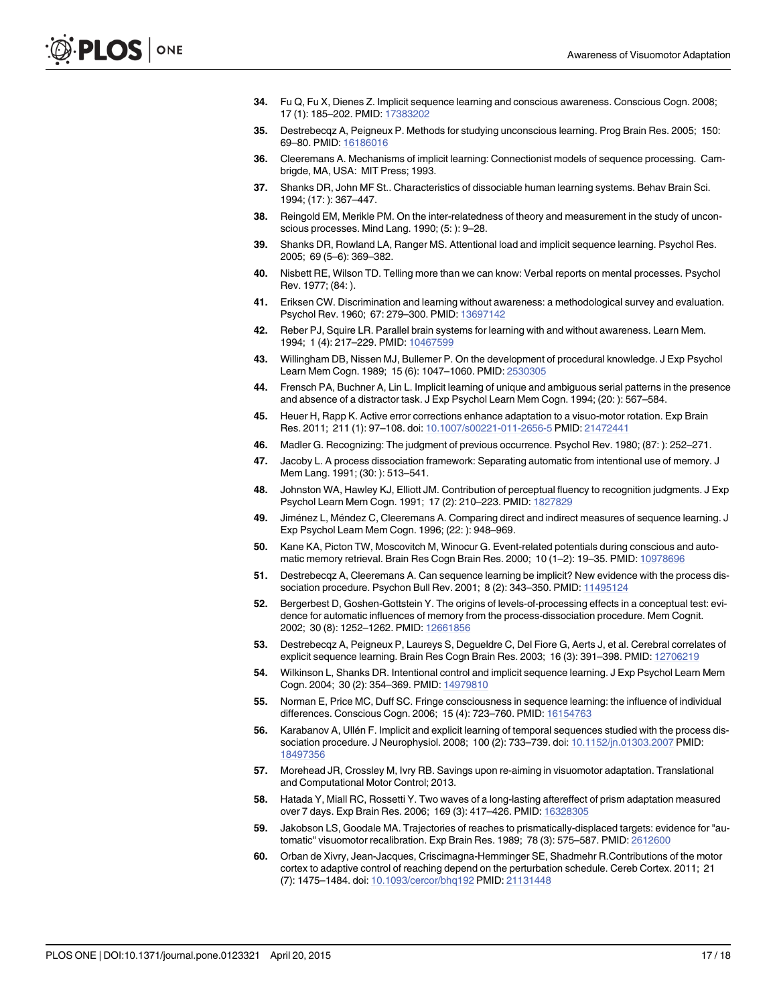- <span id="page-16-0"></span>[34.](#page-2-0) Fu Q, Fu X, Dienes Z. Implicit sequence learning and conscious awareness. Conscious Cogn. 2008; 17 (1): 185–202. PMID: [17383202](http://www.ncbi.nlm.nih.gov/pubmed/17383202)
- [35.](#page-4-0) Destrebecqz A, Peigneux P. Methods for studying unconscious learning. Prog Brain Res. 2005; 150: 69–80. PMID: [16186016](http://www.ncbi.nlm.nih.gov/pubmed/16186016)
- [36.](#page-2-0) Cleeremans A. Mechanisms of implicit learning: Connectionist models of sequence processing. Cambrigde, MA, USA: MIT Press; 1993.
- [37.](#page-2-0) Shanks DR, John MF St.. Characteristics of dissociable human learning systems. Behav Brain Sci. 1994; (17: ): 367–447.
- [38.](#page-2-0) Reingold EM, Merikle PM. On the inter-relatedness of theory and measurement in the study of unconscious processes. Mind Lang. 1990; (5: ): 9–28.
- [39.](#page-2-0) Shanks DR, Rowland LA, Ranger MS. Attentional load and implicit sequence learning. Psychol Res. 2005; 69 (5–6): 369–382.
- [40.](#page-2-0) Nisbett RE, Wilson TD. Telling more than we can know: Verbal reports on mental processes. Psychol Rev. 1977; (84: ).
- [41.](#page-2-0) Eriksen CW. Discrimination and learning without awareness: a methodological survey and evaluation. Psychol Rev. 1960; 67: 279-300. PMID: [13697142](http://www.ncbi.nlm.nih.gov/pubmed/13697142)
- [42.](#page-2-0) Reber PJ, Squire LR. Parallel brain systems for learning with and without awareness. Learn Mem. 1994; 1 (4): 217–229. PMID: [10467599](http://www.ncbi.nlm.nih.gov/pubmed/10467599)
- 43. Willingham DB, Nissen MJ, Bullemer P. On the development of procedural knowledge. J Exp Psychol Learn Mem Cogn. 1989; 15 (6): 1047-1060. PMID: [2530305](http://www.ncbi.nlm.nih.gov/pubmed/2530305)
- [44.](#page-2-0) Frensch PA, Buchner A, Lin L. Implicit learning of unique and ambiguous serial patterns in the presence and absence of a distractor task. J Exp Psychol Learn Mem Cogn. 1994; (20: ): 567–584.
- [45.](#page-2-0) Heuer H, Rapp K. Active error corrections enhance adaptation to a visuo-motor rotation. Exp Brain Res. 2011; 211 (1): 97–108. doi: [10.1007/s00221-011-2656-5](http://dx.doi.org/10.1007/s00221-011-2656-5) PMID: [21472441](http://www.ncbi.nlm.nih.gov/pubmed/21472441)
- [46.](#page-2-0) Madler G. Recognizing: The judgment of previous occurrence. Psychol Rev. 1980; (87: ): 252–271.
- [47.](#page-5-0) Jacoby L. A process dissociation framework: Separating automatic from intentional use of memory. J Mem Lang. 1991; (30: ): 513–541.
- 48. Johnston WA, Hawley KJ, Elliott JM. Contribution of perceptual fluency to recognition judgments. J Exp Psychol Learn Mem Cogn. 1991; 17 (2): 210–223. PMID: [1827829](http://www.ncbi.nlm.nih.gov/pubmed/1827829)
- [49.](#page-2-0) Jiménez L, Méndez C, Cleeremans A. Comparing direct and indirect measures of sequence learning. J Exp Psychol Learn Mem Cogn. 1996; (22: ): 948–969.
- [50.](#page-2-0) Kane KA, Picton TW, Moscovitch M, Winocur G. Event-related potentials during conscious and automatic memory retrieval. Brain Res Cogn Brain Res. 2000; 10 (1–2): 19–35. PMID: [10978696](http://www.ncbi.nlm.nih.gov/pubmed/10978696)
- 51. Destrebecqz A, Cleeremans A. Can sequence learning be implicit? New evidence with the process dis-sociation procedure. Psychon Bull Rev. 2001; 8 (2): 343-350. PMID: [11495124](http://www.ncbi.nlm.nih.gov/pubmed/11495124)
- 52. Bergerbest D, Goshen-Gottstein Y. The origins of levels-of-processing effects in a conceptual test: evidence for automatic influences of memory from the process-dissociation procedure. Mem Cognit. 2002; 30 (8): 1252–1262. PMID: [12661856](http://www.ncbi.nlm.nih.gov/pubmed/12661856)
- 53. Destrebecqz A, Peigneux P, Laureys S, Degueldre C, Del Fiore G, Aerts J, et al. Cerebral correlates of explicit sequence learning. Brain Res Cogn Brain Res. 2003; 16 (3): 391–398. PMID: [12706219](http://www.ncbi.nlm.nih.gov/pubmed/12706219)
- 54. Wilkinson L, Shanks DR. Intentional control and implicit sequence learning. J Exp Psychol Learn Mem Cogn. 2004; 30 (2): 354–369. PMID: [14979810](http://www.ncbi.nlm.nih.gov/pubmed/14979810)
- [55.](#page-2-0) Norman E, Price MC, Duff SC. Fringe consciousness in sequence learning: the influence of individual differences. Conscious Cogn. 2006; 15 (4): 723-760. PMID: [16154763](http://www.ncbi.nlm.nih.gov/pubmed/16154763)
- [56.](#page-2-0) Karabanov A, Ullén F. Implicit and explicit learning of temporal sequences studied with the process dissociation procedure. J Neurophysiol. 2008; 100 (2): 733–739. doi: [10.1152/jn.01303.2007](http://dx.doi.org/10.1152/jn.01303.2007) PMID: [18497356](http://www.ncbi.nlm.nih.gov/pubmed/18497356)
- [57.](#page-9-0) Morehead JR, Crossley M, Ivry RB. Savings upon re-aiming in visuomotor adaptation. Translational and Computational Motor Control; 2013.
- [58.](#page-12-0) Hatada Y, Miall RC, Rossetti Y. Two waves of a long-lasting aftereffect of prism adaptation measured over 7 days. Exp Brain Res. 2006; 169 (3): 417–426. PMID: [16328305](http://www.ncbi.nlm.nih.gov/pubmed/16328305)
- [59.](#page-12-0) Jakobson LS, Goodale MA. Trajectories of reaches to prismatically-displaced targets: evidence for "automatic" visuomotor recalibration. Exp Brain Res. 1989; 78 (3): 575–587. PMID: [2612600](http://www.ncbi.nlm.nih.gov/pubmed/2612600)
- [60.](#page-12-0) Orban de Xivry, Jean-Jacques, Criscimagna-Hemminger SE, Shadmehr R.Contributions of the motor cortex to adaptive control of reaching depend on the perturbation schedule. Cereb Cortex. 2011; 21 (7): 1475–1484. doi: [10.1093/cercor/bhq192](http://dx.doi.org/10.1093/cercor/bhq192) PMID: [21131448](http://www.ncbi.nlm.nih.gov/pubmed/21131448)